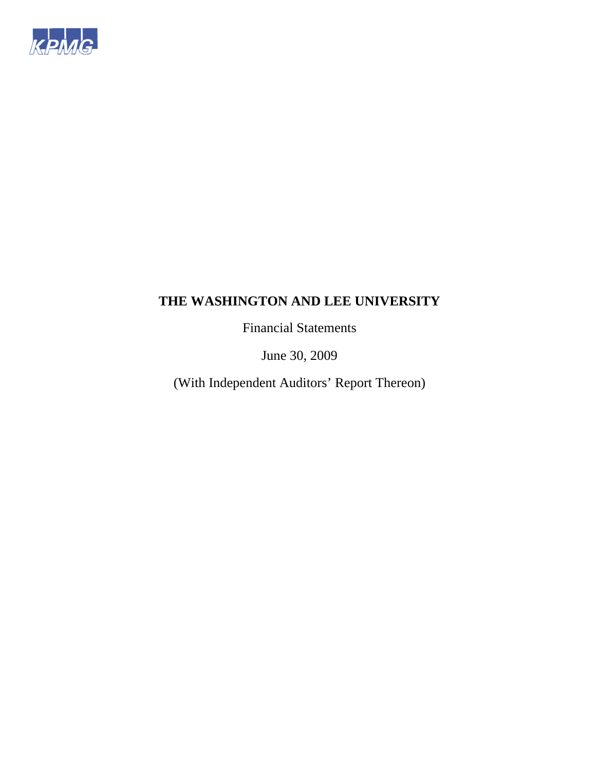

Financial Statements

June 30, 2009

(With Independent Auditors' Report Thereon)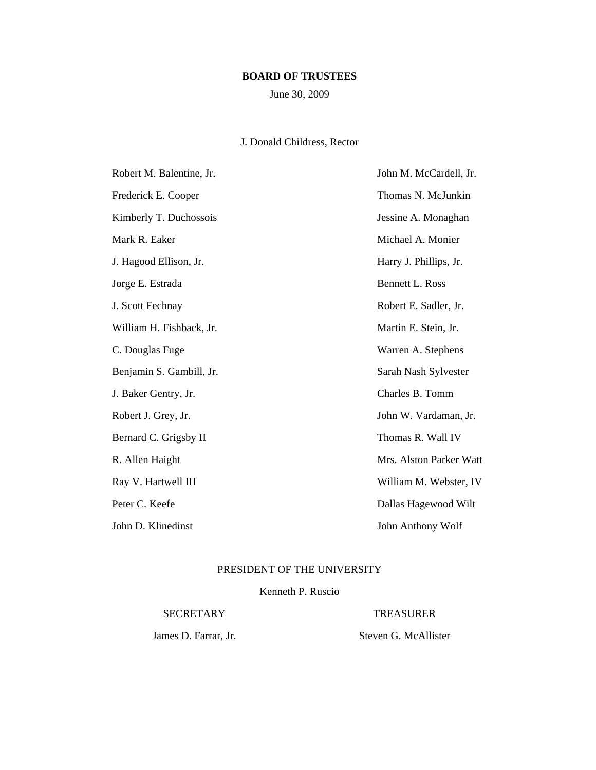# **BOARD OF TRUSTEES**

June 30, 2009

# J. Donald Childress, Rector

| Robert M. Balentine, Jr. | John M. McCardell, Jr.  |
|--------------------------|-------------------------|
| Frederick E. Cooper      | Thomas N. McJunkin      |
| Kimberly T. Duchossois   | Jessine A. Monaghan     |
| Mark R. Eaker            | Michael A. Monier       |
| J. Hagood Ellison, Jr.   | Harry J. Phillips, Jr.  |
| Jorge E. Estrada         | <b>Bennett L. Ross</b>  |
| J. Scott Fechnay         | Robert E. Sadler, Jr.   |
| William H. Fishback, Jr. | Martin E. Stein, Jr.    |
| C. Douglas Fuge          | Warren A. Stephens      |
| Benjamin S. Gambill, Jr. | Sarah Nash Sylvester    |
| J. Baker Gentry, Jr.     | Charles B. Tomm         |
| Robert J. Grey, Jr.      | John W. Vardaman, Jr.   |
| Bernard C. Grigsby II    | Thomas R. Wall IV       |
| R. Allen Haight          | Mrs. Alston Parker Watt |
| Ray V. Hartwell III      | William M. Webster, IV  |
| Peter C. Keefe           | Dallas Hagewood Wilt    |
| John D. Klinedinst       | John Anthony Wolf       |

# PRESIDENT OF THE UNIVERSITY

Kenneth P. Ruscio

SECRETARY TREASURER

James D. Farrar, Jr. Steven G. McAllister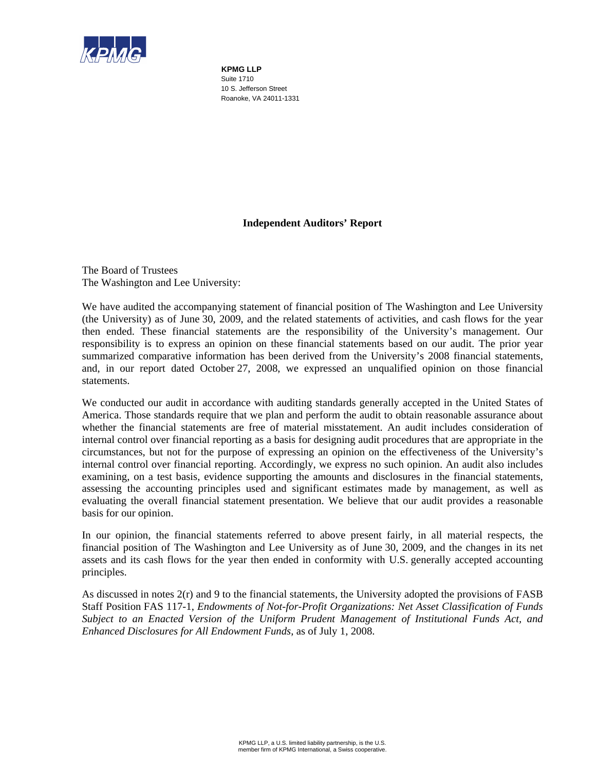

**KPMG LLP**  Suite 1710 10 S. Jefferson Street Roanoke, VA 24011-1331

# **Independent Auditors' Report**

The Board of Trustees The Washington and Lee University:

We have audited the accompanying statement of financial position of The Washington and Lee University (the University) as of June 30, 2009, and the related statements of activities, and cash flows for the year then ended. These financial statements are the responsibility of the University's management. Our responsibility is to express an opinion on these financial statements based on our audit. The prior year summarized comparative information has been derived from the University's 2008 financial statements, and, in our report dated October 27, 2008, we expressed an unqualified opinion on those financial statements.

We conducted our audit in accordance with auditing standards generally accepted in the United States of America. Those standards require that we plan and perform the audit to obtain reasonable assurance about whether the financial statements are free of material misstatement. An audit includes consideration of internal control over financial reporting as a basis for designing audit procedures that are appropriate in the circumstances, but not for the purpose of expressing an opinion on the effectiveness of the University's internal control over financial reporting. Accordingly, we express no such opinion. An audit also includes examining, on a test basis, evidence supporting the amounts and disclosures in the financial statements, assessing the accounting principles used and significant estimates made by management, as well as evaluating the overall financial statement presentation. We believe that our audit provides a reasonable basis for our opinion.

In our opinion, the financial statements referred to above present fairly, in all material respects, the financial position of The Washington and Lee University as of June 30, 2009, and the changes in its net assets and its cash flows for the year then ended in conformity with U.S. generally accepted accounting principles.

As discussed in notes 2(r) and 9 to the financial statements, the University adopted the provisions of FASB Staff Position FAS 117-1, *Endowments of Not-for-Profit Organizations: Net Asset Classification of Funds Subject to an Enacted Version of the Uniform Prudent Management of Institutional Funds Act, and Enhanced Disclosures for All Endowment Funds*, as of July 1, 2008.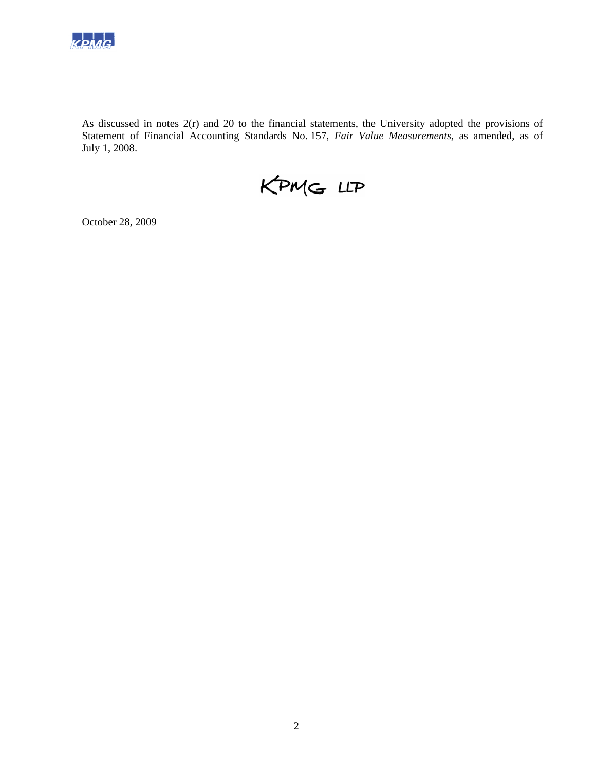

As discussed in notes 2(r) and 20 to the financial statements, the University adopted the provisions of Statement of Financial Accounting Standards No. 157, *Fair Value Measurements*, as amended, as of July 1, 2008.

KPMG LLP

October 28, 2009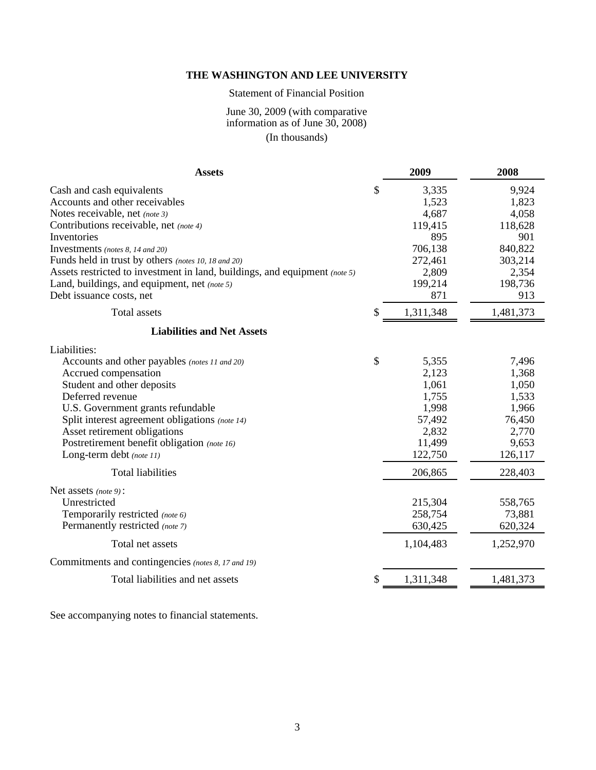# Statement of Financial Position

# June 30, 2009 (with comparative information as of June 30, 2008) (In thousands)

| <b>Assets</b>                                                                                                                                                                                                                                                                                                                                                         | 2009                                                                                               | 2008                                                                                        |
|-----------------------------------------------------------------------------------------------------------------------------------------------------------------------------------------------------------------------------------------------------------------------------------------------------------------------------------------------------------------------|----------------------------------------------------------------------------------------------------|---------------------------------------------------------------------------------------------|
| Cash and cash equivalents<br>Accounts and other receivables<br>Notes receivable, net (note 3)<br>Contributions receivable, net (note 4)<br>Inventories<br>Investments (notes 8, 14 and 20)<br>Funds held in trust by others (notes 10, 18 and 20)                                                                                                                     | \$<br>3,335<br>1,523<br>4,687<br>119,415<br>895<br>706,138<br>272,461                              | 9,924<br>1,823<br>4,058<br>118,628<br>901<br>840,822<br>303,214                             |
| Assets restricted to investment in land, buildings, and equipment (note 5)<br>Land, buildings, and equipment, net (note 5)<br>Debt issuance costs, net                                                                                                                                                                                                                | 2,809<br>199,214<br>871                                                                            | 2,354<br>198,736<br>913                                                                     |
| <b>Total</b> assets                                                                                                                                                                                                                                                                                                                                                   | \$<br>1,311,348                                                                                    | 1,481,373                                                                                   |
| <b>Liabilities and Net Assets</b>                                                                                                                                                                                                                                                                                                                                     |                                                                                                    |                                                                                             |
| Liabilities:<br>Accounts and other payables (notes 11 and 20)<br>Accrued compensation<br>Student and other deposits<br>Deferred revenue<br>U.S. Government grants refundable<br>Split interest agreement obligations (note 14)<br>Asset retirement obligations<br>Postretirement benefit obligation (note 16)<br>Long-term debt (note 11)<br><b>Total liabilities</b> | \$<br>5,355<br>2,123<br>1,061<br>1,755<br>1,998<br>57,492<br>2,832<br>11,499<br>122,750<br>206,865 | 7,496<br>1,368<br>1,050<br>1,533<br>1,966<br>76,450<br>2,770<br>9,653<br>126,117<br>228,403 |
| Net assets (note 9):<br>Unrestricted<br>Temporarily restricted (note 6)<br>Permanently restricted (note 7)<br>Total net assets                                                                                                                                                                                                                                        | 215,304<br>258,754<br>630,425<br>1,104,483                                                         | 558,765<br>73,881<br>620,324<br>1,252,970                                                   |
| Commitments and contingencies (notes 8, 17 and 19)                                                                                                                                                                                                                                                                                                                    |                                                                                                    |                                                                                             |
| Total liabilities and net assets                                                                                                                                                                                                                                                                                                                                      | \$<br>1,311,348                                                                                    | 1,481,373                                                                                   |

See accompanying notes to financial statements.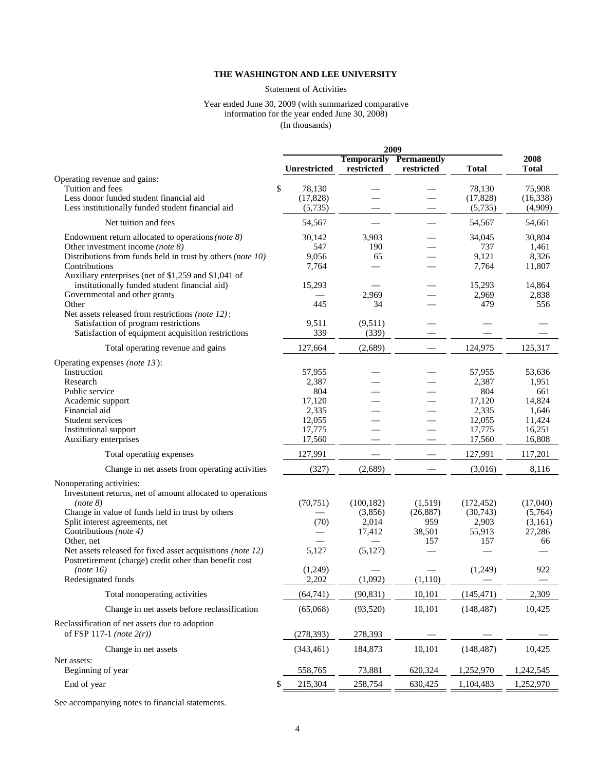#### Statement of Activities

#### Year ended June 30, 2009 (with summarized comparative information for the year ended June 30, 2008) (In thousands)

|                                                                                                                                                                                                                                                                                                                                                                                            |                                                                         | 2009                                                           |                                                         |                                                                         |                                                                         |
|--------------------------------------------------------------------------------------------------------------------------------------------------------------------------------------------------------------------------------------------------------------------------------------------------------------------------------------------------------------------------------------------|-------------------------------------------------------------------------|----------------------------------------------------------------|---------------------------------------------------------|-------------------------------------------------------------------------|-------------------------------------------------------------------------|
|                                                                                                                                                                                                                                                                                                                                                                                            | Unrestricted                                                            | <b>Temporarily</b><br>restricted                               | Permanently<br>restricted                               | <b>Total</b>                                                            | 2008<br><b>Total</b>                                                    |
| Operating revenue and gains:<br>Tuition and fees<br>Less donor funded student financial aid<br>Less institutionally funded student financial aid                                                                                                                                                                                                                                           | \$<br>78,130<br>(17, 828)<br>(5,735)                                    |                                                                |                                                         | 78,130<br>(17, 828)<br>(5,735)                                          | 75,908<br>(16, 338)<br>(4,909)                                          |
| Net tuition and fees                                                                                                                                                                                                                                                                                                                                                                       | 54,567                                                                  |                                                                |                                                         | 54,567                                                                  | 54,661                                                                  |
| Endowment return allocated to operations (note $8$ )<br>Other investment income (note $8$ )<br>Distributions from funds held in trust by others (note 10)<br>Contributions                                                                                                                                                                                                                 | 30,142<br>547<br>9,056<br>7,764                                         | 3,903<br>190<br>65                                             |                                                         | 34,045<br>737<br>9,121<br>7,764                                         | 30,804<br>1,461<br>8,326<br>11,807                                      |
| Auxiliary enterprises (net of \$1,259 and \$1,041 of<br>institutionally funded student financial aid)<br>Governmental and other grants<br>Other                                                                                                                                                                                                                                            | 15,293<br>445                                                           | 2,969<br>34                                                    |                                                         | 15,293<br>2,969<br>479                                                  | 14,864<br>2,838<br>556                                                  |
| Net assets released from restrictions (note 12):<br>Satisfaction of program restrictions<br>Satisfaction of equipment acquisition restrictions                                                                                                                                                                                                                                             | 9,511<br>339                                                            | (9,511)<br>(339)                                               |                                                         |                                                                         |                                                                         |
| Total operating revenue and gains                                                                                                                                                                                                                                                                                                                                                          | 127,664                                                                 | (2,689)                                                        |                                                         | 124,975                                                                 | 125,317                                                                 |
| Operating expenses (note 13):<br>Instruction<br>Research<br>Public service<br>Academic support<br>Financial aid<br>Student services<br>Institutional support<br>Auxiliary enterprises                                                                                                                                                                                                      | 57,955<br>2,387<br>804<br>17,120<br>2,335<br>12,055<br>17,775<br>17,560 |                                                                |                                                         | 57,955<br>2,387<br>804<br>17,120<br>2,335<br>12,055<br>17,775<br>17,560 | 53,636<br>1,951<br>661<br>14,824<br>1,646<br>11,424<br>16,251<br>16,808 |
| Total operating expenses                                                                                                                                                                                                                                                                                                                                                                   | 127,991                                                                 |                                                                |                                                         | 127,991                                                                 | 117,201                                                                 |
| Change in net assets from operating activities                                                                                                                                                                                                                                                                                                                                             | (327)                                                                   | (2,689)                                                        |                                                         | (3,016)                                                                 | 8,116                                                                   |
| Nonoperating activities:<br>Investment returns, net of amount allocated to operations<br>(note 8)<br>Change in value of funds held in trust by others<br>Split interest agreements, net<br>Contributions (note 4)<br>Other, net<br>Net assets released for fixed asset acquisitions (note 12)<br>Postretirement (charge) credit other than benefit cost<br>(note 16)<br>Redesignated funds | (70, 751)<br>(70)<br>5,127<br>(1,249)<br>2,202                          | (100, 182)<br>(3,856)<br>2,014<br>17,412<br>(5,127)<br>(1,092) | (1,519)<br>(26, 887)<br>959<br>38,501<br>157<br>(1,110) | (172, 452)<br>(30,743)<br>2,903<br>55,913<br>157<br>(1,249)             | (17,040)<br>(5,764)<br>(3,161)<br>27,286<br>66<br>922                   |
| Total nonoperating activities                                                                                                                                                                                                                                                                                                                                                              | (64, 741)                                                               | (90, 831)                                                      | 10,101                                                  | (145, 471)                                                              | 2,309                                                                   |
| Change in net assets before reclassification                                                                                                                                                                                                                                                                                                                                               | (65,068)                                                                | (93,520)                                                       | 10,101                                                  | (148, 487)                                                              | 10,425                                                                  |
| Reclassification of net assets due to adoption<br>of FSP 117-1 (note $2(r)$ )                                                                                                                                                                                                                                                                                                              | (278, 393)                                                              | 278,393                                                        |                                                         |                                                                         |                                                                         |
| Change in net assets                                                                                                                                                                                                                                                                                                                                                                       | (343, 461)                                                              | 184,873                                                        | 10,101                                                  | (148, 487)                                                              | 10,425                                                                  |
| Net assets:<br>Beginning of year                                                                                                                                                                                                                                                                                                                                                           | 558,765                                                                 | 73,881                                                         | 620,324                                                 | 1,252,970                                                               | 1,242,545                                                               |
| End of year                                                                                                                                                                                                                                                                                                                                                                                | 215,304<br>\$                                                           | 258,754                                                        | 630,425                                                 | 1,104,483                                                               | 1,252,970                                                               |

See accompanying notes to financial statements.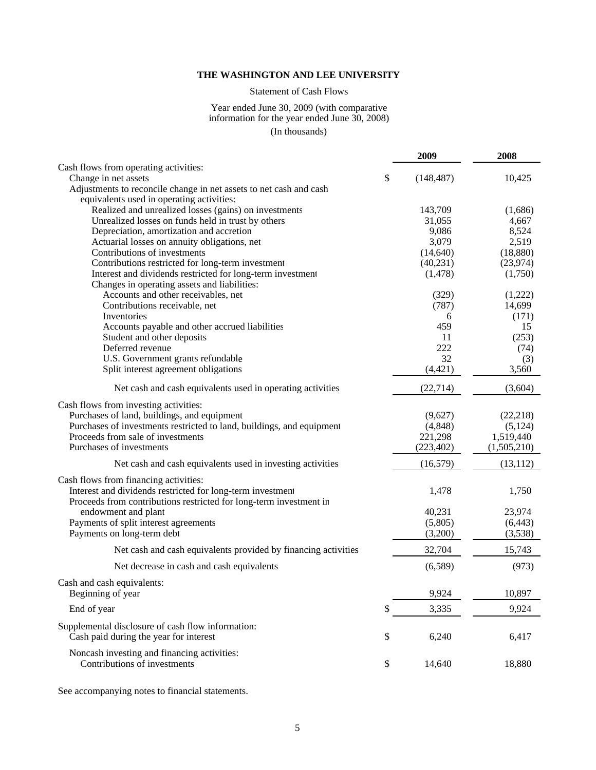# Statement of Cash Flows

#### Year ended June 30, 2009 (with comparative information for the year ended June 30, 2008) (In thousands)

|                                                                                           | 2009             | 2008        |
|-------------------------------------------------------------------------------------------|------------------|-------------|
| Cash flows from operating activities:                                                     |                  |             |
| Change in net assets                                                                      | \$<br>(148, 487) | 10,425      |
| Adjustments to reconcile change in net assets to net cash and cash                        |                  |             |
| equivalents used in operating activities:                                                 |                  |             |
| Realized and unrealized losses (gains) on investments                                     | 143,709          | (1,686)     |
| Unrealized losses on funds held in trust by others                                        | 31,055           | 4,667       |
| Depreciation, amortization and accretion                                                  | 9,086            | 8,524       |
| Actuarial losses on annuity obligations, net                                              | 3,079            | 2,519       |
| Contributions of investments                                                              | (14, 640)        | (18,880)    |
| Contributions restricted for long-term investment                                         | (40, 231)        | (23, 974)   |
| Interest and dividends restricted for long-term investment                                | (1, 478)         | (1,750)     |
| Changes in operating assets and liabilities:                                              |                  |             |
| Accounts and other receivables, net                                                       | (329)            | (1,222)     |
| Contributions receivable, net                                                             | (787)            | 14,699      |
| Inventories                                                                               | 6                | (171)       |
| Accounts payable and other accrued liabilities                                            | 459              | 15          |
| Student and other deposits                                                                | 11               | (253)       |
| Deferred revenue                                                                          | 222              | (74)        |
| U.S. Government grants refundable                                                         | 32               | (3)         |
| Split interest agreement obligations                                                      | (4, 421)         | 3,560       |
| Net cash and cash equivalents used in operating activities                                | (22, 714)        | (3,604)     |
| Cash flows from investing activities:                                                     |                  |             |
| Purchases of land, buildings, and equipment                                               | (9,627)          | (22, 218)   |
| Purchases of investments restricted to land, buildings, and equipment                     | (4,848)          | (5, 124)    |
| Proceeds from sale of investments                                                         | 221,298          | 1,519,440   |
| Purchases of investments                                                                  | (223, 402)       | (1,505,210) |
| Net cash and cash equivalents used in investing activities                                | (16, 579)        | (13, 112)   |
|                                                                                           |                  |             |
| Cash flows from financing activities:                                                     |                  |             |
| Interest and dividends restricted for long-term investment                                | 1,478            | 1,750       |
| Proceeds from contributions restricted for long-term investment in<br>endowment and plant | 40,231           | 23,974      |
| Payments of split interest agreements                                                     | (5,805)          | (6, 443)    |
| Payments on long-term debt                                                                | (3,200)          | (3,538)     |
| Net cash and cash equivalents provided by financing activities                            | 32,704           | 15,743      |
|                                                                                           |                  |             |
| Net decrease in cash and cash equivalents                                                 | (6,589)          | (973)       |
| Cash and cash equivalents:<br>Beginning of year                                           | 9,924            | 10,897      |
|                                                                                           |                  |             |
| End of year                                                                               | \$<br>3,335      | 9,924       |
| Supplemental disclosure of cash flow information:                                         |                  |             |
| Cash paid during the year for interest                                                    | \$<br>6,240      | 6,417       |
| Noncash investing and financing activities:                                               |                  |             |
| Contributions of investments                                                              | \$<br>14,640     | 18,880      |
|                                                                                           |                  |             |

See accompanying notes to financial statements.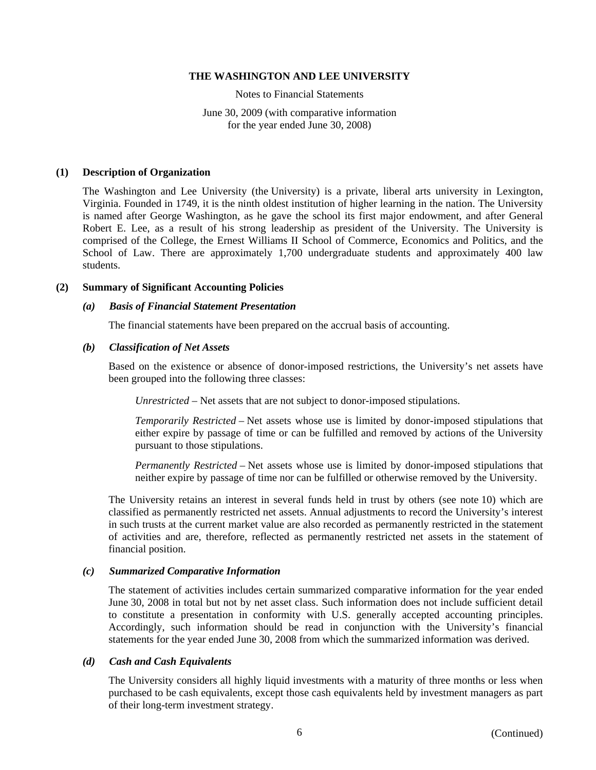Notes to Financial Statements

June 30, 2009 (with comparative information for the year ended June 30, 2008)

#### **(1) Description of Organization**

The Washington and Lee University (the University) is a private, liberal arts university in Lexington, Virginia. Founded in 1749, it is the ninth oldest institution of higher learning in the nation. The University is named after George Washington, as he gave the school its first major endowment, and after General Robert E. Lee, as a result of his strong leadership as president of the University. The University is comprised of the College, the Ernest Williams II School of Commerce, Economics and Politics, and the School of Law. There are approximately 1,700 undergraduate students and approximately 400 law students.

#### **(2) Summary of Significant Accounting Policies**

#### *(a) Basis of Financial Statement Presentation*

The financial statements have been prepared on the accrual basis of accounting.

#### *(b) Classification of Net Assets*

Based on the existence or absence of donor-imposed restrictions, the University's net assets have been grouped into the following three classes:

*Unrestricted* – Net assets that are not subject to donor-imposed stipulations.

*Temporarily Restricted* – Net assets whose use is limited by donor-imposed stipulations that either expire by passage of time or can be fulfilled and removed by actions of the University pursuant to those stipulations.

*Permanently Restricted* – Net assets whose use is limited by donor-imposed stipulations that neither expire by passage of time nor can be fulfilled or otherwise removed by the University.

The University retains an interest in several funds held in trust by others (see note 10) which are classified as permanently restricted net assets. Annual adjustments to record the University's interest in such trusts at the current market value are also recorded as permanently restricted in the statement of activities and are, therefore, reflected as permanently restricted net assets in the statement of financial position.

#### *(c) Summarized Comparative Information*

The statement of activities includes certain summarized comparative information for the year ended June 30, 2008 in total but not by net asset class. Such information does not include sufficient detail to constitute a presentation in conformity with U.S. generally accepted accounting principles. Accordingly, such information should be read in conjunction with the University's financial statements for the year ended June 30, 2008 from which the summarized information was derived.

#### *(d) Cash and Cash Equivalents*

The University considers all highly liquid investments with a maturity of three months or less when purchased to be cash equivalents, except those cash equivalents held by investment managers as part of their long-term investment strategy.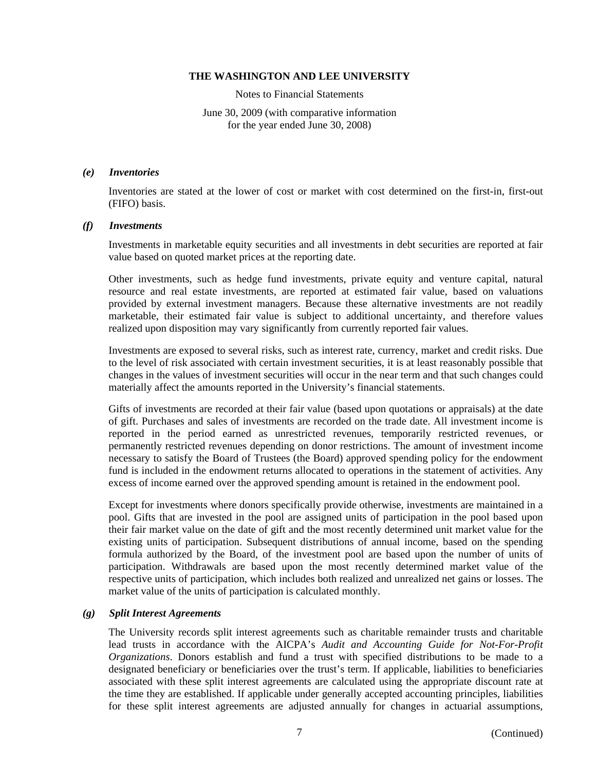Notes to Financial Statements

June 30, 2009 (with comparative information for the year ended June 30, 2008)

#### *(e) Inventories*

Inventories are stated at the lower of cost or market with cost determined on the first-in, first-out (FIFO) basis.

#### *(f) Investments*

Investments in marketable equity securities and all investments in debt securities are reported at fair value based on quoted market prices at the reporting date.

Other investments, such as hedge fund investments, private equity and venture capital, natural resource and real estate investments, are reported at estimated fair value, based on valuations provided by external investment managers. Because these alternative investments are not readily marketable, their estimated fair value is subject to additional uncertainty, and therefore values realized upon disposition may vary significantly from currently reported fair values.

Investments are exposed to several risks, such as interest rate, currency, market and credit risks. Due to the level of risk associated with certain investment securities, it is at least reasonably possible that changes in the values of investment securities will occur in the near term and that such changes could materially affect the amounts reported in the University's financial statements.

Gifts of investments are recorded at their fair value (based upon quotations or appraisals) at the date of gift. Purchases and sales of investments are recorded on the trade date. All investment income is reported in the period earned as unrestricted revenues, temporarily restricted revenues, or permanently restricted revenues depending on donor restrictions. The amount of investment income necessary to satisfy the Board of Trustees (the Board) approved spending policy for the endowment fund is included in the endowment returns allocated to operations in the statement of activities. Any excess of income earned over the approved spending amount is retained in the endowment pool.

Except for investments where donors specifically provide otherwise, investments are maintained in a pool. Gifts that are invested in the pool are assigned units of participation in the pool based upon their fair market value on the date of gift and the most recently determined unit market value for the existing units of participation. Subsequent distributions of annual income, based on the spending formula authorized by the Board, of the investment pool are based upon the number of units of participation. Withdrawals are based upon the most recently determined market value of the respective units of participation, which includes both realized and unrealized net gains or losses. The market value of the units of participation is calculated monthly.

## *(g) Split Interest Agreements*

The University records split interest agreements such as charitable remainder trusts and charitable lead trusts in accordance with the AICPA's *Audit and Accounting Guide for Not-For-Profit Organizations*. Donors establish and fund a trust with specified distributions to be made to a designated beneficiary or beneficiaries over the trust's term. If applicable, liabilities to beneficiaries associated with these split interest agreements are calculated using the appropriate discount rate at the time they are established. If applicable under generally accepted accounting principles, liabilities for these split interest agreements are adjusted annually for changes in actuarial assumptions,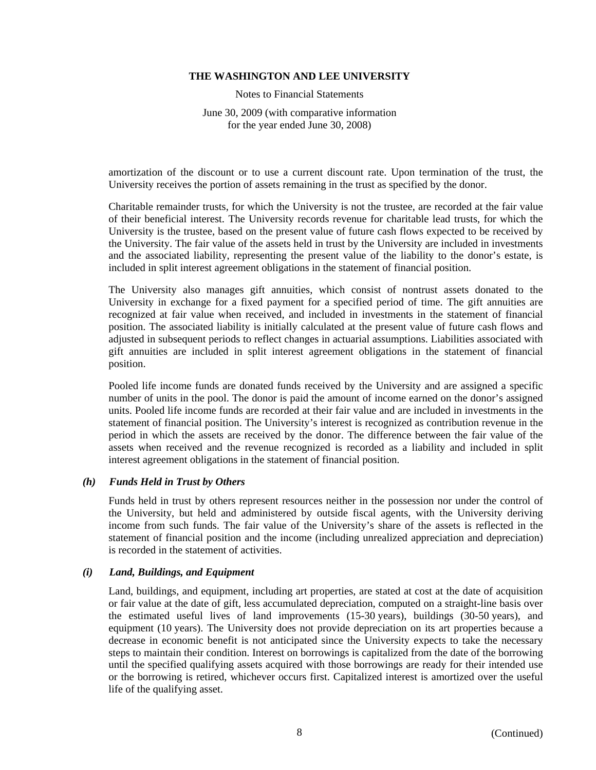Notes to Financial Statements

June 30, 2009 (with comparative information for the year ended June 30, 2008)

amortization of the discount or to use a current discount rate. Upon termination of the trust, the University receives the portion of assets remaining in the trust as specified by the donor.

Charitable remainder trusts, for which the University is not the trustee, are recorded at the fair value of their beneficial interest. The University records revenue for charitable lead trusts, for which the University is the trustee, based on the present value of future cash flows expected to be received by the University. The fair value of the assets held in trust by the University are included in investments and the associated liability, representing the present value of the liability to the donor's estate, is included in split interest agreement obligations in the statement of financial position.

The University also manages gift annuities, which consist of nontrust assets donated to the University in exchange for a fixed payment for a specified period of time. The gift annuities are recognized at fair value when received, and included in investments in the statement of financial position. The associated liability is initially calculated at the present value of future cash flows and adjusted in subsequent periods to reflect changes in actuarial assumptions. Liabilities associated with gift annuities are included in split interest agreement obligations in the statement of financial position.

Pooled life income funds are donated funds received by the University and are assigned a specific number of units in the pool. The donor is paid the amount of income earned on the donor's assigned units. Pooled life income funds are recorded at their fair value and are included in investments in the statement of financial position. The University's interest is recognized as contribution revenue in the period in which the assets are received by the donor. The difference between the fair value of the assets when received and the revenue recognized is recorded as a liability and included in split interest agreement obligations in the statement of financial position.

## *(h) Funds Held in Trust by Others*

Funds held in trust by others represent resources neither in the possession nor under the control of the University, but held and administered by outside fiscal agents, with the University deriving income from such funds. The fair value of the University's share of the assets is reflected in the statement of financial position and the income (including unrealized appreciation and depreciation) is recorded in the statement of activities.

## *(i) Land, Buildings, and Equipment*

Land, buildings, and equipment, including art properties, are stated at cost at the date of acquisition or fair value at the date of gift, less accumulated depreciation, computed on a straight-line basis over the estimated useful lives of land improvements (15-30 years), buildings (30-50 years), and equipment (10 years). The University does not provide depreciation on its art properties because a decrease in economic benefit is not anticipated since the University expects to take the necessary steps to maintain their condition. Interest on borrowings is capitalized from the date of the borrowing until the specified qualifying assets acquired with those borrowings are ready for their intended use or the borrowing is retired, whichever occurs first. Capitalized interest is amortized over the useful life of the qualifying asset.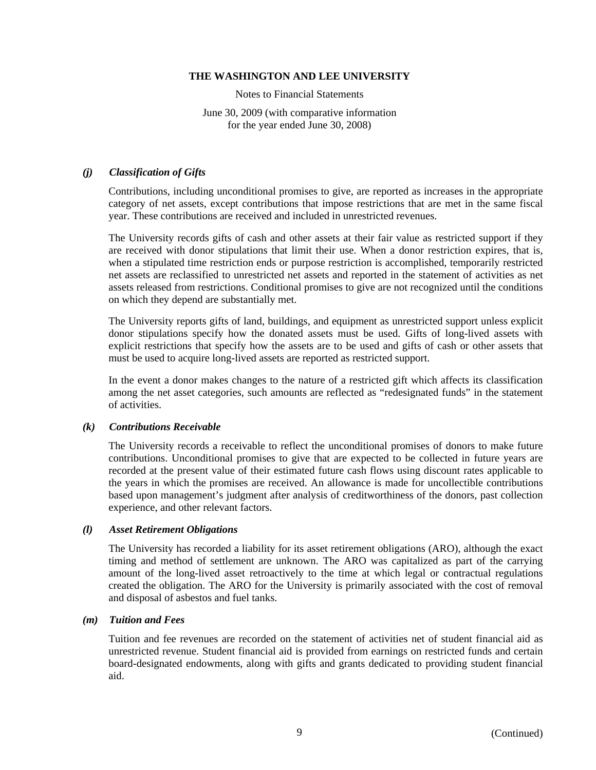Notes to Financial Statements

June 30, 2009 (with comparative information for the year ended June 30, 2008)

# *(j) Classification of Gifts*

Contributions, including unconditional promises to give, are reported as increases in the appropriate category of net assets, except contributions that impose restrictions that are met in the same fiscal year. These contributions are received and included in unrestricted revenues.

The University records gifts of cash and other assets at their fair value as restricted support if they are received with donor stipulations that limit their use. When a donor restriction expires, that is, when a stipulated time restriction ends or purpose restriction is accomplished, temporarily restricted net assets are reclassified to unrestricted net assets and reported in the statement of activities as net assets released from restrictions. Conditional promises to give are not recognized until the conditions on which they depend are substantially met.

The University reports gifts of land, buildings, and equipment as unrestricted support unless explicit donor stipulations specify how the donated assets must be used. Gifts of long-lived assets with explicit restrictions that specify how the assets are to be used and gifts of cash or other assets that must be used to acquire long-lived assets are reported as restricted support.

In the event a donor makes changes to the nature of a restricted gift which affects its classification among the net asset categories, such amounts are reflected as "redesignated funds" in the statement of activities.

## *(k) Contributions Receivable*

The University records a receivable to reflect the unconditional promises of donors to make future contributions. Unconditional promises to give that are expected to be collected in future years are recorded at the present value of their estimated future cash flows using discount rates applicable to the years in which the promises are received. An allowance is made for uncollectible contributions based upon management's judgment after analysis of creditworthiness of the donors, past collection experience, and other relevant factors.

## *(l) Asset Retirement Obligations*

The University has recorded a liability for its asset retirement obligations (ARO), although the exact timing and method of settlement are unknown. The ARO was capitalized as part of the carrying amount of the long-lived asset retroactively to the time at which legal or contractual regulations created the obligation. The ARO for the University is primarily associated with the cost of removal and disposal of asbestos and fuel tanks.

# *(m) Tuition and Fees*

Tuition and fee revenues are recorded on the statement of activities net of student financial aid as unrestricted revenue. Student financial aid is provided from earnings on restricted funds and certain board-designated endowments, along with gifts and grants dedicated to providing student financial aid.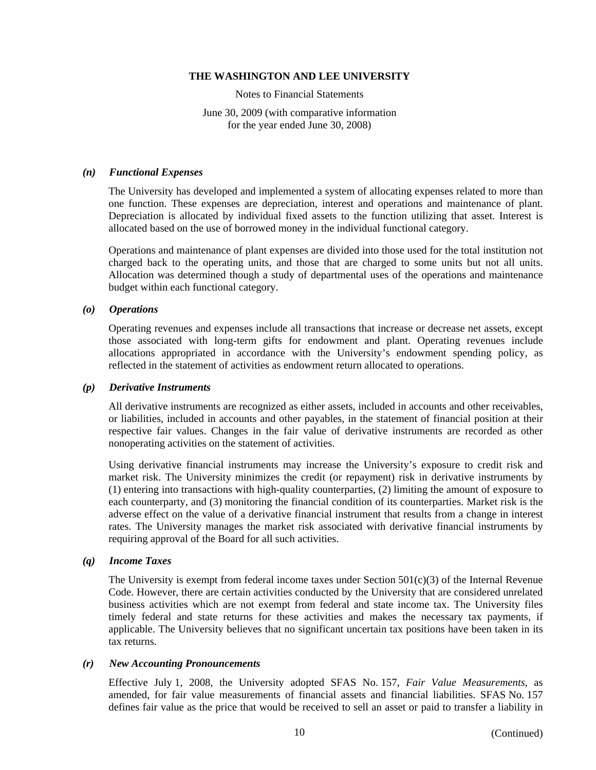Notes to Financial Statements

June 30, 2009 (with comparative information for the year ended June 30, 2008)

## *(n) Functional Expenses*

The University has developed and implemented a system of allocating expenses related to more than one function. These expenses are depreciation, interest and operations and maintenance of plant. Depreciation is allocated by individual fixed assets to the function utilizing that asset. Interest is allocated based on the use of borrowed money in the individual functional category.

Operations and maintenance of plant expenses are divided into those used for the total institution not charged back to the operating units, and those that are charged to some units but not all units. Allocation was determined though a study of departmental uses of the operations and maintenance budget within each functional category.

#### *(o) Operations*

Operating revenues and expenses include all transactions that increase or decrease net assets, except those associated with long-term gifts for endowment and plant. Operating revenues include allocations appropriated in accordance with the University's endowment spending policy, as reflected in the statement of activities as endowment return allocated to operations.

#### *(p) Derivative Instruments*

All derivative instruments are recognized as either assets, included in accounts and other receivables, or liabilities, included in accounts and other payables, in the statement of financial position at their respective fair values. Changes in the fair value of derivative instruments are recorded as other nonoperating activities on the statement of activities.

Using derivative financial instruments may increase the University's exposure to credit risk and market risk. The University minimizes the credit (or repayment) risk in derivative instruments by (1) entering into transactions with high-quality counterparties, (2) limiting the amount of exposure to each counterparty, and (3) monitoring the financial condition of its counterparties. Market risk is the adverse effect on the value of a derivative financial instrument that results from a change in interest rates. The University manages the market risk associated with derivative financial instruments by requiring approval of the Board for all such activities.

# *(q) Income Taxes*

The University is exempt from federal income taxes under Section  $501(c)(3)$  of the Internal Revenue Code. However, there are certain activities conducted by the University that are considered unrelated business activities which are not exempt from federal and state income tax. The University files timely federal and state returns for these activities and makes the necessary tax payments, if applicable. The University believes that no significant uncertain tax positions have been taken in its tax returns.

## *(r) New Accounting Pronouncements*

Effective July 1, 2008, the University adopted SFAS No. 157, *Fair Value Measurements*, as amended, for fair value measurements of financial assets and financial liabilities. SFAS No. 157 defines fair value as the price that would be received to sell an asset or paid to transfer a liability in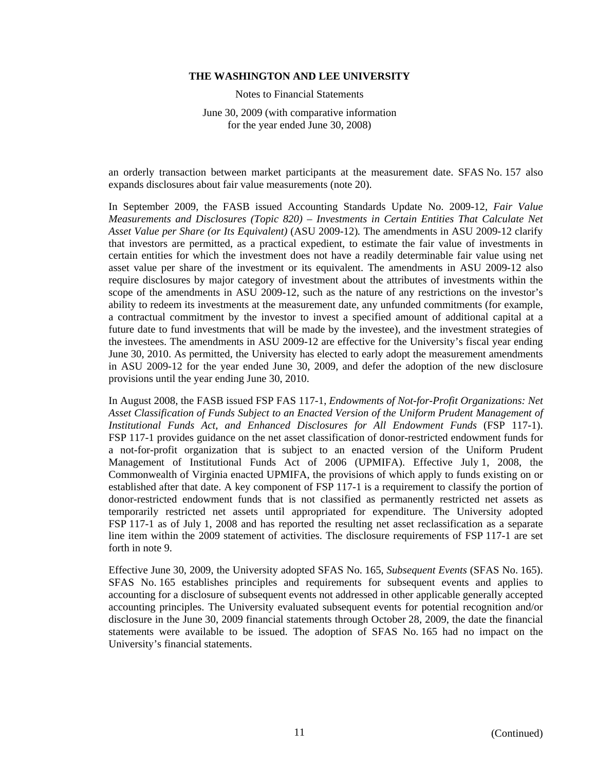Notes to Financial Statements

June 30, 2009 (with comparative information for the year ended June 30, 2008)

an orderly transaction between market participants at the measurement date. SFAS No. 157 also expands disclosures about fair value measurements (note 20).

In September 2009, the FASB issued Accounting Standards Update No. 2009-12, *Fair Value Measurements and Disclosures (Topic 820) – Investments in Certain Entities That Calculate Net Asset Value per Share (or Its Equivalent)* (ASU 2009-12)*.* The amendments in ASU 2009-12 clarify that investors are permitted, as a practical expedient, to estimate the fair value of investments in certain entities for which the investment does not have a readily determinable fair value using net asset value per share of the investment or its equivalent. The amendments in ASU 2009-12 also require disclosures by major category of investment about the attributes of investments within the scope of the amendments in ASU 2009-12, such as the nature of any restrictions on the investor's ability to redeem its investments at the measurement date, any unfunded commitments (for example, a contractual commitment by the investor to invest a specified amount of additional capital at a future date to fund investments that will be made by the investee), and the investment strategies of the investees. The amendments in ASU 2009-12 are effective for the University's fiscal year ending June 30, 2010. As permitted, the University has elected to early adopt the measurement amendments in ASU 2009-12 for the year ended June 30, 2009, and defer the adoption of the new disclosure provisions until the year ending June 30, 2010.

In August 2008, the FASB issued FSP FAS 117-1, *Endowments of Not-for-Profit Organizations: Net Asset Classification of Funds Subject to an Enacted Version of the Uniform Prudent Management of Institutional Funds Act, and Enhanced Disclosures for All Endowment Funds* (FSP 117-1). FSP 117-1 provides guidance on the net asset classification of donor-restricted endowment funds for a not-for-profit organization that is subject to an enacted version of the Uniform Prudent Management of Institutional Funds Act of 2006 (UPMIFA). Effective July 1, 2008, the Commonwealth of Virginia enacted UPMIFA, the provisions of which apply to funds existing on or established after that date. A key component of FSP 117-1 is a requirement to classify the portion of donor-restricted endowment funds that is not classified as permanently restricted net assets as temporarily restricted net assets until appropriated for expenditure. The University adopted FSP 117-1 as of July 1, 2008 and has reported the resulting net asset reclassification as a separate line item within the 2009 statement of activities. The disclosure requirements of FSP 117-1 are set forth in note 9.

Effective June 30, 2009, the University adopted SFAS No. 165, *Subsequent Events* (SFAS No. 165). SFAS No. 165 establishes principles and requirements for subsequent events and applies to accounting for a disclosure of subsequent events not addressed in other applicable generally accepted accounting principles. The University evaluated subsequent events for potential recognition and/or disclosure in the June 30, 2009 financial statements through October 28, 2009, the date the financial statements were available to be issued. The adoption of SFAS No. 165 had no impact on the University's financial statements.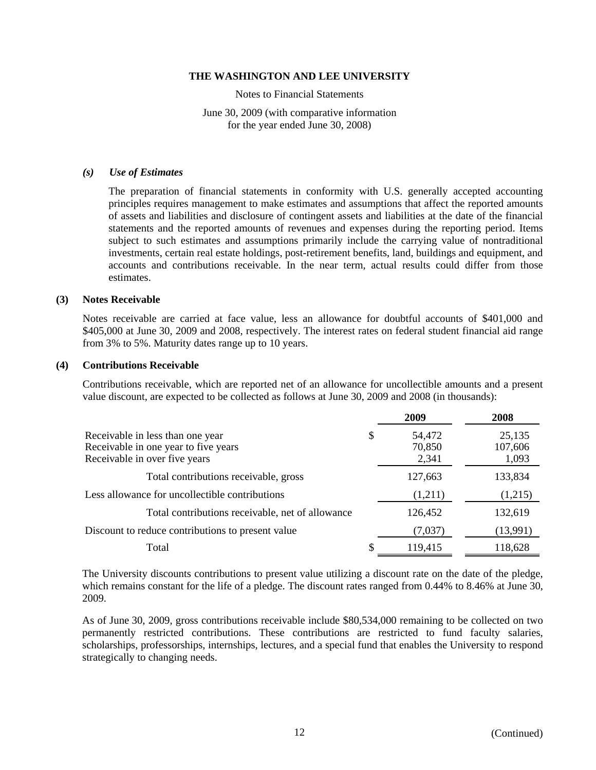Notes to Financial Statements

June 30, 2009 (with comparative information for the year ended June 30, 2008)

#### *(s) Use of Estimates*

The preparation of financial statements in conformity with U.S. generally accepted accounting principles requires management to make estimates and assumptions that affect the reported amounts of assets and liabilities and disclosure of contingent assets and liabilities at the date of the financial statements and the reported amounts of revenues and expenses during the reporting period. Items subject to such estimates and assumptions primarily include the carrying value of nontraditional investments, certain real estate holdings, post-retirement benefits, land, buildings and equipment, and accounts and contributions receivable. In the near term, actual results could differ from those estimates.

## **(3) Notes Receivable**

Notes receivable are carried at face value, less an allowance for doubtful accounts of \$401,000 and \$405,000 at June 30, 2009 and 2008, respectively. The interest rates on federal student financial aid range from 3% to 5%. Maturity dates range up to 10 years.

#### **(4) Contributions Receivable**

Contributions receivable, which are reported net of an allowance for uncollectible amounts and a present value discount, are expected to be collected as follows at June 30, 2009 and 2008 (in thousands):

|                                                                                                           | 2009                            | 2008                       |
|-----------------------------------------------------------------------------------------------------------|---------------------------------|----------------------------|
| Receivable in less than one year<br>Receivable in one year to five years<br>Receivable in over five years | \$<br>54,472<br>70,850<br>2,341 | 25,135<br>107,606<br>1,093 |
| Total contributions receivable, gross                                                                     | 127,663                         | 133,834                    |
| Less allowance for uncollectible contributions                                                            | (1,211)                         | (1,215)                    |
| Total contributions receivable, net of allowance                                                          | 126,452                         | 132,619                    |
| Discount to reduce contributions to present value                                                         | (7,037)                         | (13,991)                   |
| Total                                                                                                     | 119,415                         | 118,628                    |

The University discounts contributions to present value utilizing a discount rate on the date of the pledge, which remains constant for the life of a pledge. The discount rates ranged from 0.44% to 8.46% at June 30, 2009.

As of June 30, 2009, gross contributions receivable include \$80,534,000 remaining to be collected on two permanently restricted contributions. These contributions are restricted to fund faculty salaries, scholarships, professorships, internships, lectures, and a special fund that enables the University to respond strategically to changing needs.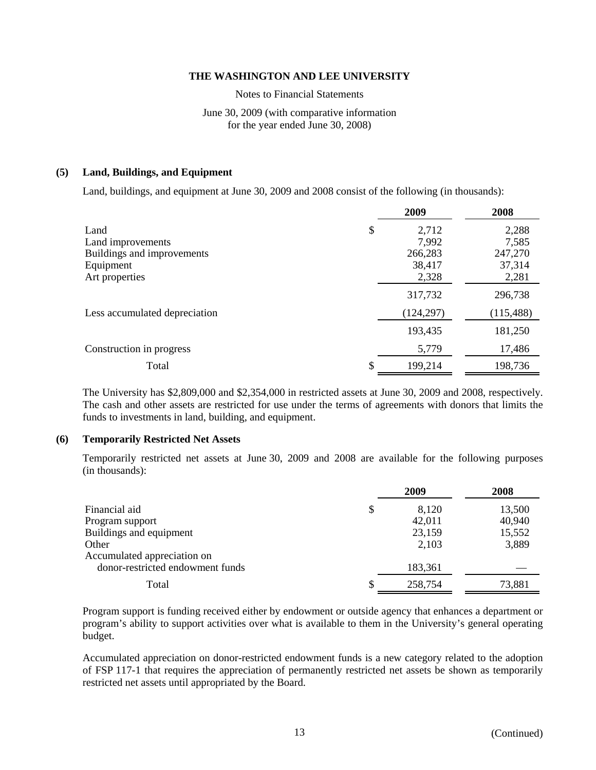Notes to Financial Statements

# June 30, 2009 (with comparative information for the year ended June 30, 2008)

## **(5) Land, Buildings, and Equipment**

Land, buildings, and equipment at June 30, 2009 and 2008 consist of the following (in thousands):

|                               | 2009        | 2008       |
|-------------------------------|-------------|------------|
| Land                          | \$<br>2,712 | 2,288      |
| Land improvements             | 7.992       | 7,585      |
| Buildings and improvements    | 266,283     | 247,270    |
| Equipment                     | 38,417      | 37,314     |
| Art properties                | 2,328       | 2,281      |
|                               | 317,732     | 296,738    |
| Less accumulated depreciation | (124, 297)  | (115, 488) |
|                               | 193,435     | 181,250    |
| Construction in progress      | 5,779       | 17,486     |
| Total                         | 199,214     | 198,736    |

The University has \$2,809,000 and \$2,354,000 in restricted assets at June 30, 2009 and 2008, respectively. The cash and other assets are restricted for use under the terms of agreements with donors that limits the funds to investments in land, building, and equipment.

## **(6) Temporarily Restricted Net Assets**

Temporarily restricted net assets at June 30, 2009 and 2008 are available for the following purposes (in thousands):

|                                  |   | 2009    | 2008   |
|----------------------------------|---|---------|--------|
| Financial aid                    | S | 8,120   | 13,500 |
| Program support                  |   | 42,011  | 40,940 |
| Buildings and equipment          |   | 23,159  | 15,552 |
| Other                            |   | 2,103   | 3,889  |
| Accumulated appreciation on      |   |         |        |
| donor-restricted endowment funds |   | 183,361 |        |
| Total                            |   | 258,754 | 73,881 |

Program support is funding received either by endowment or outside agency that enhances a department or program's ability to support activities over what is available to them in the University's general operating budget.

Accumulated appreciation on donor-restricted endowment funds is a new category related to the adoption of FSP 117-1 that requires the appreciation of permanently restricted net assets be shown as temporarily restricted net assets until appropriated by the Board.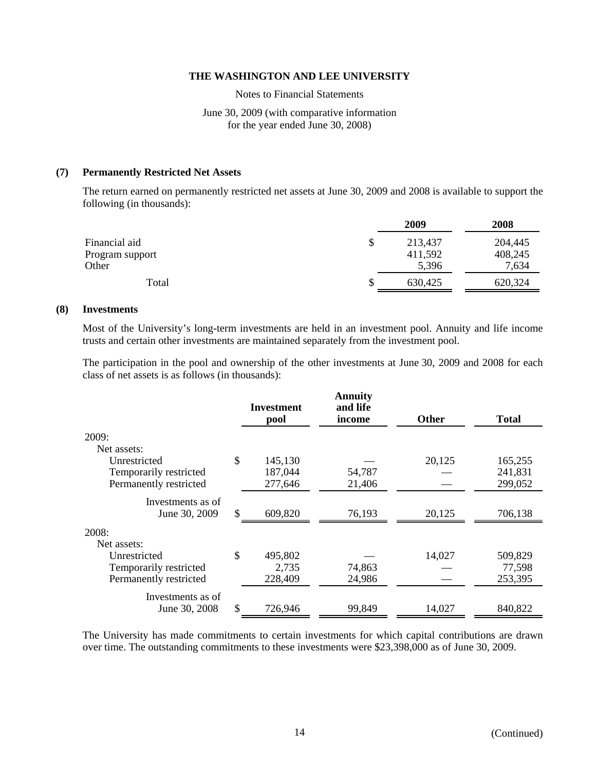Notes to Financial Statements

June 30, 2009 (with comparative information for the year ended June 30, 2008)

#### **(7) Permanently Restricted Net Assets**

The return earned on permanently restricted net assets at June 30, 2009 and 2008 is available to support the following (in thousands):

|                 | 2009    | 2008    |
|-----------------|---------|---------|
| Financial aid   | 213,437 | 204,445 |
| Program support | 411,592 | 408,245 |
| Other           | 5,396   | 7,634   |
| Total           | 630,425 | 620,324 |

#### **(8) Investments**

Most of the University's long-term investments are held in an investment pool. Annuity and life income trusts and certain other investments are maintained separately from the investment pool.

The participation in the pool and ownership of the other investments at June 30, 2009 and 2008 for each class of net assets is as follows (in thousands):

|                        | <b>Investment</b><br>pool | <b>Annuity</b><br>and life<br>income | <b>Other</b> | <b>Total</b> |
|------------------------|---------------------------|--------------------------------------|--------------|--------------|
| 2009:                  |                           |                                      |              |              |
| Net assets:            |                           |                                      |              |              |
| Unrestricted           | \$<br>145,130             |                                      | 20,125       | 165,255      |
| Temporarily restricted | 187,044                   | 54,787                               |              | 241,831      |
| Permanently restricted | 277,646                   | 21,406                               |              | 299,052      |
| Investments as of      |                           |                                      |              |              |
| June 30, 2009          | \$<br>609,820             | 76,193                               | 20,125       | 706,138      |
| 2008:                  |                           |                                      |              |              |
| Net assets:            |                           |                                      |              |              |
| Unrestricted           | \$<br>495,802             |                                      | 14,027       | 509,829      |
| Temporarily restricted | 2,735                     | 74,863                               |              | 77,598       |
| Permanently restricted | 228,409                   | 24,986                               |              | 253,395      |
| Investments as of      |                           |                                      |              |              |
| June 30, 2008          | \$<br>726,946             | 99,849                               | 14,027       | 840,822      |

The University has made commitments to certain investments for which capital contributions are drawn over time. The outstanding commitments to these investments were \$23,398,000 as of June 30, 2009.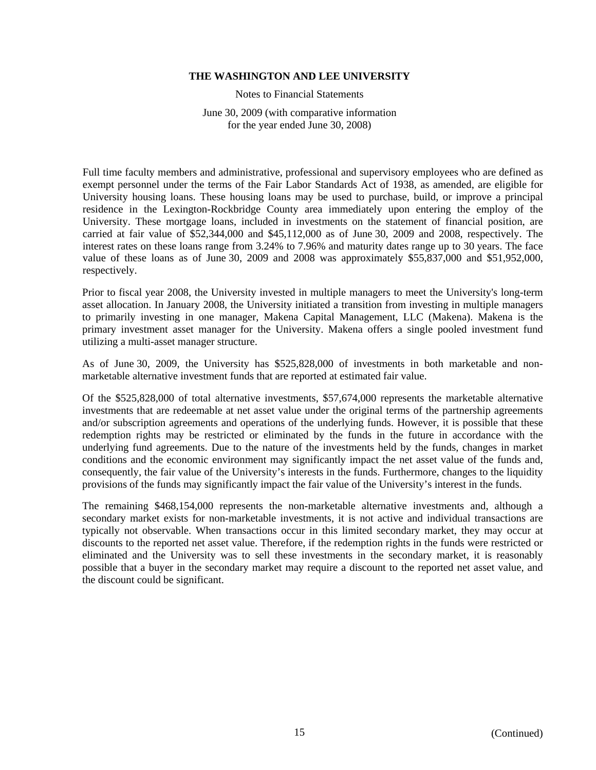Notes to Financial Statements

June 30, 2009 (with comparative information for the year ended June 30, 2008)

Full time faculty members and administrative, professional and supervisory employees who are defined as exempt personnel under the terms of the Fair Labor Standards Act of 1938, as amended, are eligible for University housing loans. These housing loans may be used to purchase, build, or improve a principal residence in the Lexington-Rockbridge County area immediately upon entering the employ of the University. These mortgage loans, included in investments on the statement of financial position, are carried at fair value of \$52,344,000 and \$45,112,000 as of June 30, 2009 and 2008, respectively. The interest rates on these loans range from 3.24% to 7.96% and maturity dates range up to 30 years. The face value of these loans as of June 30, 2009 and 2008 was approximately \$55,837,000 and \$51,952,000, respectively.

Prior to fiscal year 2008, the University invested in multiple managers to meet the University's long-term asset allocation. In January 2008, the University initiated a transition from investing in multiple managers to primarily investing in one manager, Makena Capital Management, LLC (Makena). Makena is the primary investment asset manager for the University. Makena offers a single pooled investment fund utilizing a multi-asset manager structure.

As of June 30, 2009, the University has \$525,828,000 of investments in both marketable and nonmarketable alternative investment funds that are reported at estimated fair value.

Of the \$525,828,000 of total alternative investments, \$57,674,000 represents the marketable alternative investments that are redeemable at net asset value under the original terms of the partnership agreements and/or subscription agreements and operations of the underlying funds. However, it is possible that these redemption rights may be restricted or eliminated by the funds in the future in accordance with the underlying fund agreements. Due to the nature of the investments held by the funds, changes in market conditions and the economic environment may significantly impact the net asset value of the funds and, consequently, the fair value of the University's interests in the funds. Furthermore, changes to the liquidity provisions of the funds may significantly impact the fair value of the University's interest in the funds.

The remaining \$468,154,000 represents the non-marketable alternative investments and, although a secondary market exists for non-marketable investments, it is not active and individual transactions are typically not observable. When transactions occur in this limited secondary market, they may occur at discounts to the reported net asset value. Therefore, if the redemption rights in the funds were restricted or eliminated and the University was to sell these investments in the secondary market, it is reasonably possible that a buyer in the secondary market may require a discount to the reported net asset value, and the discount could be significant.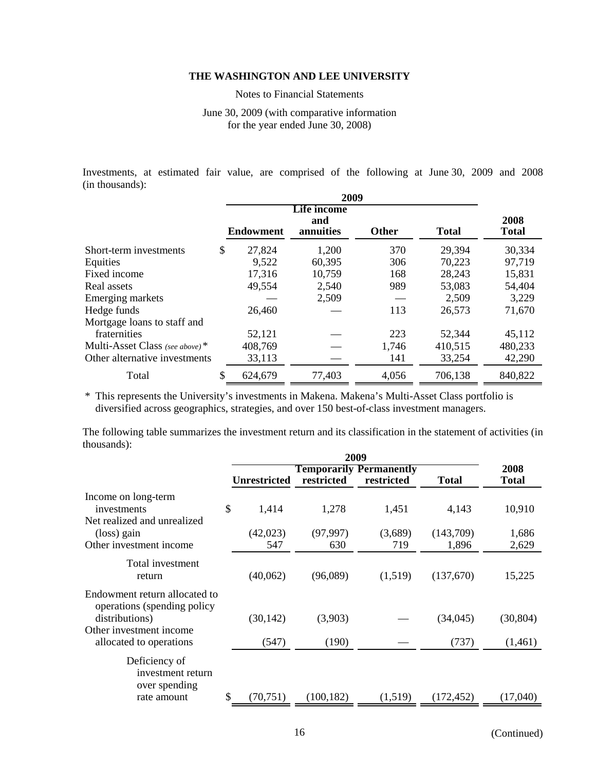Notes to Financial Statements

June 30, 2009 (with comparative information for the year ended June 30, 2008)

Investments, at estimated fair value, are comprised of the following at June 30, 2009 and 2008 (in thousands):

| 2009                           |    |                  |                                 |              |              |                      |
|--------------------------------|----|------------------|---------------------------------|--------------|--------------|----------------------|
|                                |    | <b>Endowment</b> | Life income<br>and<br>annuities | <b>Other</b> | <b>Total</b> | 2008<br><b>Total</b> |
| Short-term investments         | \$ | 27,824           | 1,200                           | 370          | 29,394       | 30,334               |
| Equities                       |    | 9,522            | 60,395                          | 306          | 70,223       | 97,719               |
| Fixed income                   |    | 17,316           | 10,759                          | 168          | 28,243       | 15,831               |
| Real assets                    |    | 49,554           | 2,540                           | 989          | 53,083       | 54,404               |
| Emerging markets               |    |                  | 2,509                           |              | 2,509        | 3,229                |
| Hedge funds                    |    | 26,460           |                                 | 113          | 26,573       | 71,670               |
| Mortgage loans to staff and    |    |                  |                                 |              |              |                      |
| fraternities                   |    | 52,121           |                                 | 223          | 52,344       | 45,112               |
| Multi-Asset Class (see above)* |    | 408,769          |                                 | 1,746        | 410,515      | 480,233              |
| Other alternative investments  |    | 33,113           |                                 | 141          | 33,254       | 42,290               |
| Total                          | \$ | 624,679          | 77,403                          | 4,056        | 706,138      | 840,822              |

\* This represents the University's investments in Makena. Makena's Multi-Asset Class portfolio is diversified across geographics, strategies, and over 150 best-of-class investment managers.

The following table summarizes the investment return and its classification in the statement of activities (in thousands):

|                                                                                                                                      |     | <b>Unrestricted</b> | restricted       | <b>Temporarily Permanently</b><br>restricted | <b>Total</b>       | 2008<br><b>Total</b> |  |
|--------------------------------------------------------------------------------------------------------------------------------------|-----|---------------------|------------------|----------------------------------------------|--------------------|----------------------|--|
| Income on long-term<br>investments<br>Net realized and unrealized                                                                    | \$  | 1,414               | 1,278            | 1,451                                        | 4,143              | 10,910               |  |
| (loss) gain<br>Other investment income                                                                                               |     | (42,023)<br>547     | (97, 997)<br>630 | (3,689)<br>719                               | (143,709)<br>1,896 | 1,686<br>2,629       |  |
| Total investment<br>return                                                                                                           |     | (40,062)            | (96,089)         | (1,519)                                      | (137,670)          | 15,225               |  |
| Endowment return allocated to<br>operations (spending policy<br>distributions)<br>Other investment income<br>allocated to operations |     | (30, 142)<br>(547)  | (3,903)<br>(190) |                                              | (34,045)<br>(737)  | (30, 804)<br>(1,461) |  |
| Deficiency of<br>investment return<br>over spending<br>rate amount                                                                   | \$. | (70, 751)           | (100, 182)       | (1,519)                                      | (172, 452)         | (17,040)             |  |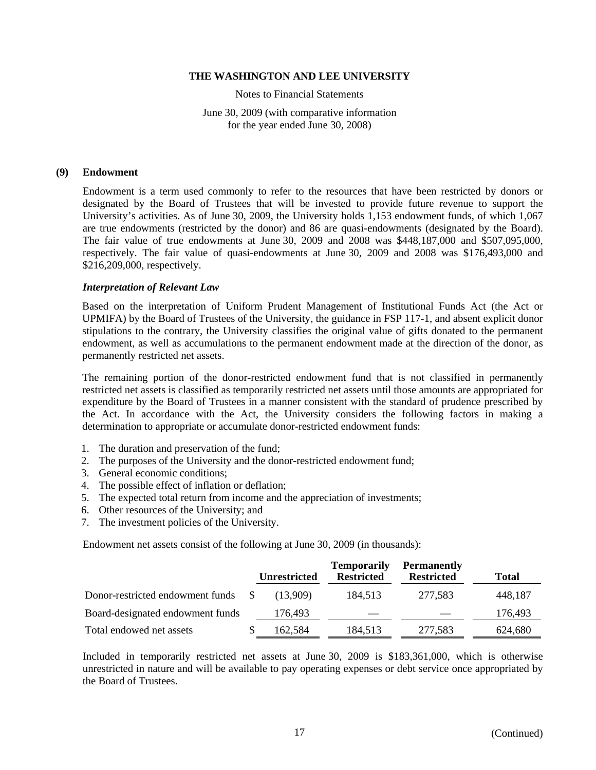Notes to Financial Statements

June 30, 2009 (with comparative information for the year ended June 30, 2008)

#### **(9) Endowment**

Endowment is a term used commonly to refer to the resources that have been restricted by donors or designated by the Board of Trustees that will be invested to provide future revenue to support the University's activities. As of June 30, 2009, the University holds 1,153 endowment funds, of which 1,067 are true endowments (restricted by the donor) and 86 are quasi-endowments (designated by the Board). The fair value of true endowments at June 30, 2009 and 2008 was \$448,187,000 and \$507,095,000, respectively. The fair value of quasi-endowments at June 30, 2009 and 2008 was \$176,493,000 and \$216,209,000, respectively.

## *Interpretation of Relevant Law*

Based on the interpretation of Uniform Prudent Management of Institutional Funds Act (the Act or UPMIFA) by the Board of Trustees of the University, the guidance in FSP 117-1, and absent explicit donor stipulations to the contrary, the University classifies the original value of gifts donated to the permanent endowment, as well as accumulations to the permanent endowment made at the direction of the donor, as permanently restricted net assets.

The remaining portion of the donor-restricted endowment fund that is not classified in permanently restricted net assets is classified as temporarily restricted net assets until those amounts are appropriated for expenditure by the Board of Trustees in a manner consistent with the standard of prudence prescribed by the Act. In accordance with the Act, the University considers the following factors in making a determination to appropriate or accumulate donor-restricted endowment funds:

- 1. The duration and preservation of the fund;
- 2. The purposes of the University and the donor-restricted endowment fund;
- 3. General economic conditions;
- 4. The possible effect of inflation or deflation;
- 5. The expected total return from income and the appreciation of investments;
- 6. Other resources of the University; and
- 7. The investment policies of the University.

Endowment net assets consist of the following at June 30, 2009 (in thousands):

|                                  | <b>Unrestricted</b> | <b>Temporarily</b><br><b>Restricted</b> | <b>Permanently</b><br><b>Restricted</b> | Total   |
|----------------------------------|---------------------|-----------------------------------------|-----------------------------------------|---------|
| Donor-restricted endowment funds | (13.909)            | 184,513                                 | 277,583                                 | 448,187 |
| Board-designated endowment funds | 176,493             |                                         |                                         | 176,493 |
| Total endowed net assets         | 162,584             | 184,513                                 | 277,583                                 | 624,680 |

Included in temporarily restricted net assets at June 30, 2009 is \$183,361,000, which is otherwise unrestricted in nature and will be available to pay operating expenses or debt service once appropriated by the Board of Trustees.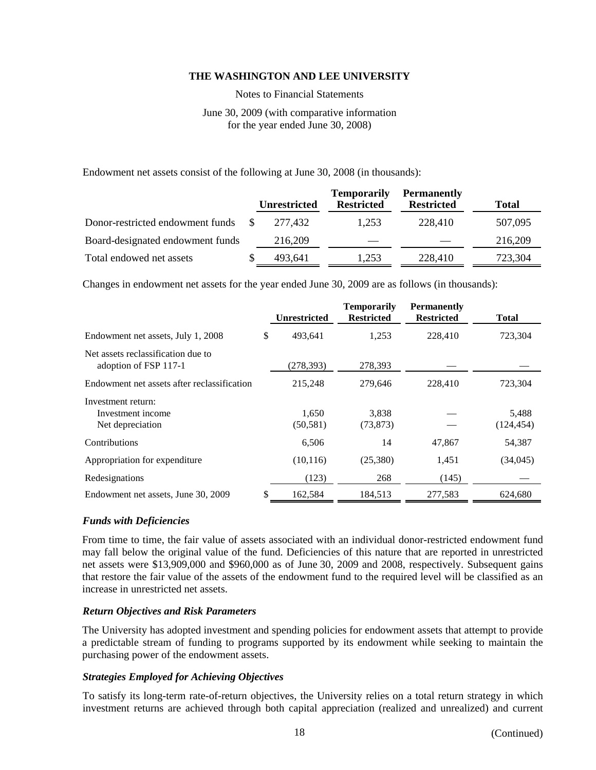Notes to Financial Statements

June 30, 2009 (with comparative information for the year ended June 30, 2008)

Endowment net assets consist of the following at June 30, 2008 (in thousands):

|                                  | <b>Unrestricted</b> | <b>Temporarily</b><br><b>Restricted</b> | <b>Permanently</b><br><b>Restricted</b> | <b>Total</b> |
|----------------------------------|---------------------|-----------------------------------------|-----------------------------------------|--------------|
| Donor-restricted endowment funds | 277.432             | 1.253                                   | 228,410                                 | 507,095      |
| Board-designated endowment funds | 216,209             |                                         |                                         | 216,209      |
| Total endowed net assets         | 493.641             | 1.253                                   | 228,410                                 | 723,304      |

Changes in endowment net assets for the year ended June 30, 2009 are as follows (in thousands):

|                                                             |    | <b>Unrestricted</b> | <b>Temporarily</b><br><b>Restricted</b> | <b>Permanently</b><br><b>Restricted</b> | <b>Total</b>        |
|-------------------------------------------------------------|----|---------------------|-----------------------------------------|-----------------------------------------|---------------------|
| Endowment net assets, July 1, 2008                          | \$ | 493,641             | 1,253                                   | 228,410                                 | 723,304             |
| Net assets reclassification due to<br>adoption of FSP 117-1 |    | (278,393)           | 278,393                                 |                                         |                     |
| Endowment net assets after reclassification                 |    | 215,248             | 279,646                                 | 228,410                                 | 723,304             |
| Investment return:<br>Investment income<br>Net depreciation |    | 1,650<br>(50, 581)  | 3,838<br>(73, 873)                      |                                         | 5,488<br>(124, 454) |
| Contributions                                               |    | 6,506               | 14                                      | 47,867                                  | 54,387              |
| Appropriation for expenditure                               |    | (10, 116)           | (25,380)                                | 1,451                                   | (34,045)            |
| Redesignations                                              |    | (123)               | 268                                     | (145)                                   |                     |
| Endowment net assets, June 30, 2009                         | S  | 162,584             | 184,513                                 | 277,583                                 | 624,680             |

## *Funds with Deficiencies*

From time to time, the fair value of assets associated with an individual donor-restricted endowment fund may fall below the original value of the fund. Deficiencies of this nature that are reported in unrestricted net assets were \$13,909,000 and \$960,000 as of June 30, 2009 and 2008, respectively. Subsequent gains that restore the fair value of the assets of the endowment fund to the required level will be classified as an increase in unrestricted net assets.

# *Return Objectives and Risk Parameters*

The University has adopted investment and spending policies for endowment assets that attempt to provide a predictable stream of funding to programs supported by its endowment while seeking to maintain the purchasing power of the endowment assets.

# *Strategies Employed for Achieving Objectives*

To satisfy its long-term rate-of-return objectives, the University relies on a total return strategy in which investment returns are achieved through both capital appreciation (realized and unrealized) and current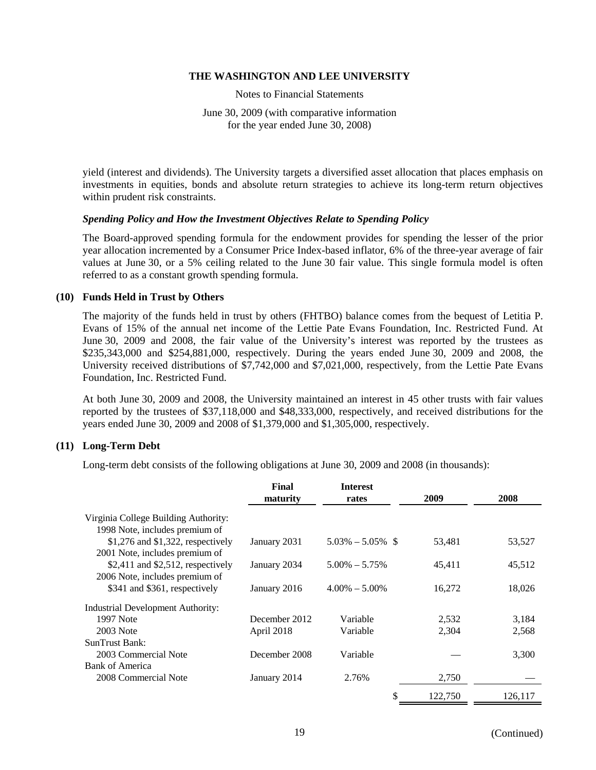Notes to Financial Statements

June 30, 2009 (with comparative information for the year ended June 30, 2008)

yield (interest and dividends). The University targets a diversified asset allocation that places emphasis on investments in equities, bonds and absolute return strategies to achieve its long-term return objectives within prudent risk constraints.

# *Spending Policy and How the Investment Objectives Relate to Spending Policy*

The Board-approved spending formula for the endowment provides for spending the lesser of the prior year allocation incremented by a Consumer Price Index-based inflator, 6% of the three-year average of fair values at June 30, or a 5% ceiling related to the June 30 fair value. This single formula model is often referred to as a constant growth spending formula.

#### **(10) Funds Held in Trust by Others**

The majority of the funds held in trust by others (FHTBO) balance comes from the bequest of Letitia P. Evans of 15% of the annual net income of the Lettie Pate Evans Foundation, Inc. Restricted Fund. At June 30, 2009 and 2008, the fair value of the University's interest was reported by the trustees as \$235,343,000 and \$254,881,000, respectively. During the years ended June 30, 2009 and 2008, the University received distributions of \$7,742,000 and \$7,021,000, respectively, from the Lettie Pate Evans Foundation, Inc. Restricted Fund.

At both June 30, 2009 and 2008, the University maintained an interest in 45 other trusts with fair values reported by the trustees of \$37,118,000 and \$48,333,000, respectively, and received distributions for the years ended June 30, 2009 and 2008 of \$1,379,000 and \$1,305,000, respectively.

## **(11) Long-Term Debt**

Long-term debt consists of the following obligations at June 30, 2009 and 2008 (in thousands):

|                                          | Final<br>maturity | <b>Interest</b><br>rates | 2009    | 2008    |
|------------------------------------------|-------------------|--------------------------|---------|---------|
| Virginia College Building Authority:     |                   |                          |         |         |
| 1998 Note, includes premium of           |                   |                          |         |         |
| $$1,276$ and $$1,322$ , respectively     | January 2031      | $5.03\% - 5.05\%$ \$     | 53,481  | 53,527  |
| 2001 Note, includes premium of           |                   |                          |         |         |
| $$2,411$ and $$2,512$ , respectively     | January 2034      | $5.00\% - 5.75\%$        | 45,411  | 45,512  |
| 2006 Note, includes premium of           |                   |                          |         |         |
| \$341 and \$361, respectively            | January 2016      | $4.00\% - 5.00\%$        | 16,272  | 18,026  |
| <b>Industrial Development Authority:</b> |                   |                          |         |         |
| 1997 Note                                | December 2012     | Variable                 | 2,532   | 3,184   |
| 2003 Note                                | April 2018        | Variable                 | 2,304   | 2,568   |
| <b>SunTrust Bank:</b>                    |                   |                          |         |         |
| 2003 Commercial Note                     | December 2008     | Variable                 |         | 3,300   |
| <b>Bank of America</b>                   |                   |                          |         |         |
| 2008 Commercial Note                     | January 2014      | 2.76%                    | 2,750   |         |
|                                          |                   | \$                       | 122,750 | 126,117 |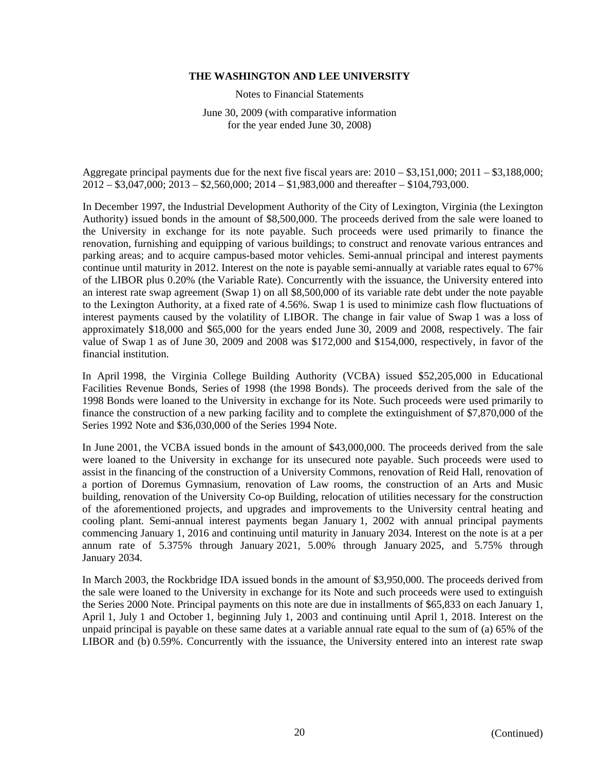Notes to Financial Statements

June 30, 2009 (with comparative information for the year ended June 30, 2008)

Aggregate principal payments due for the next five fiscal years are: 2010 – \$3,151,000; 2011 – \$3,188,000; 2012 – \$3,047,000; 2013 – \$2,560,000; 2014 – \$1,983,000 and thereafter – \$104,793,000.

In December 1997, the Industrial Development Authority of the City of Lexington, Virginia (the Lexington Authority) issued bonds in the amount of \$8,500,000. The proceeds derived from the sale were loaned to the University in exchange for its note payable. Such proceeds were used primarily to finance the renovation, furnishing and equipping of various buildings; to construct and renovate various entrances and parking areas; and to acquire campus-based motor vehicles. Semi-annual principal and interest payments continue until maturity in 2012. Interest on the note is payable semi-annually at variable rates equal to 67% of the LIBOR plus 0.20% (the Variable Rate). Concurrently with the issuance, the University entered into an interest rate swap agreement (Swap 1) on all \$8,500,000 of its variable rate debt under the note payable to the Lexington Authority, at a fixed rate of 4.56%. Swap 1 is used to minimize cash flow fluctuations of interest payments caused by the volatility of LIBOR. The change in fair value of Swap 1 was a loss of approximately \$18,000 and \$65,000 for the years ended June 30, 2009 and 2008, respectively. The fair value of Swap 1 as of June 30, 2009 and 2008 was \$172,000 and \$154,000, respectively, in favor of the financial institution.

In April 1998, the Virginia College Building Authority (VCBA) issued \$52,205,000 in Educational Facilities Revenue Bonds, Series of 1998 (the 1998 Bonds). The proceeds derived from the sale of the 1998 Bonds were loaned to the University in exchange for its Note. Such proceeds were used primarily to finance the construction of a new parking facility and to complete the extinguishment of \$7,870,000 of the Series 1992 Note and \$36,030,000 of the Series 1994 Note.

In June 2001, the VCBA issued bonds in the amount of \$43,000,000. The proceeds derived from the sale were loaned to the University in exchange for its unsecured note payable. Such proceeds were used to assist in the financing of the construction of a University Commons, renovation of Reid Hall, renovation of a portion of Doremus Gymnasium, renovation of Law rooms, the construction of an Arts and Music building, renovation of the University Co-op Building, relocation of utilities necessary for the construction of the aforementioned projects, and upgrades and improvements to the University central heating and cooling plant. Semi-annual interest payments began January 1, 2002 with annual principal payments commencing January 1, 2016 and continuing until maturity in January 2034. Interest on the note is at a per annum rate of 5.375% through January 2021, 5.00% through January 2025, and 5.75% through January 2034.

In March 2003, the Rockbridge IDA issued bonds in the amount of \$3,950,000. The proceeds derived from the sale were loaned to the University in exchange for its Note and such proceeds were used to extinguish the Series 2000 Note. Principal payments on this note are due in installments of \$65,833 on each January 1, April 1, July 1 and October 1, beginning July 1, 2003 and continuing until April 1, 2018. Interest on the unpaid principal is payable on these same dates at a variable annual rate equal to the sum of (a) 65% of the LIBOR and (b) 0.59%. Concurrently with the issuance, the University entered into an interest rate swap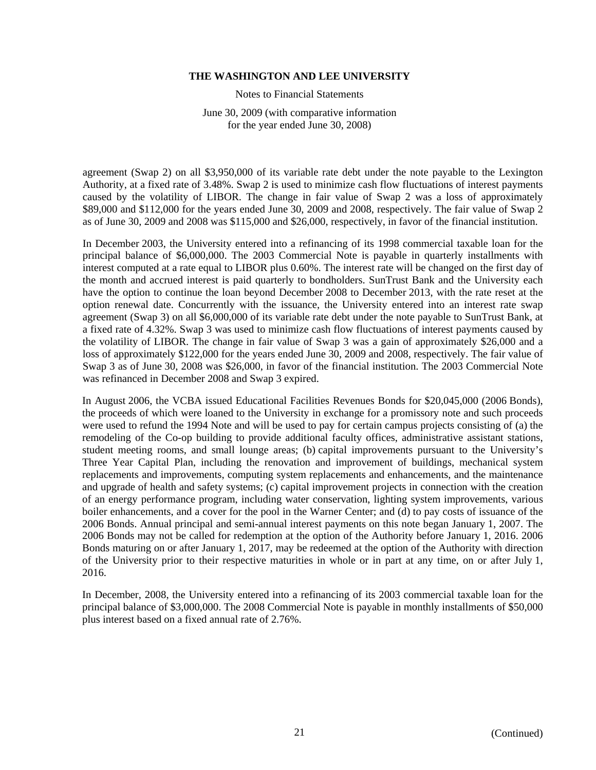Notes to Financial Statements

June 30, 2009 (with comparative information for the year ended June 30, 2008)

agreement (Swap 2) on all \$3,950,000 of its variable rate debt under the note payable to the Lexington Authority, at a fixed rate of 3.48%. Swap 2 is used to minimize cash flow fluctuations of interest payments caused by the volatility of LIBOR. The change in fair value of Swap 2 was a loss of approximately \$89,000 and \$112,000 for the years ended June 30, 2009 and 2008, respectively. The fair value of Swap 2 as of June 30, 2009 and 2008 was \$115,000 and \$26,000, respectively, in favor of the financial institution.

In December 2003, the University entered into a refinancing of its 1998 commercial taxable loan for the principal balance of \$6,000,000. The 2003 Commercial Note is payable in quarterly installments with interest computed at a rate equal to LIBOR plus 0.60%. The interest rate will be changed on the first day of the month and accrued interest is paid quarterly to bondholders. SunTrust Bank and the University each have the option to continue the loan beyond December 2008 to December 2013, with the rate reset at the option renewal date. Concurrently with the issuance, the University entered into an interest rate swap agreement (Swap 3) on all \$6,000,000 of its variable rate debt under the note payable to SunTrust Bank, at a fixed rate of 4.32%. Swap 3 was used to minimize cash flow fluctuations of interest payments caused by the volatility of LIBOR. The change in fair value of Swap 3 was a gain of approximately \$26,000 and a loss of approximately \$122,000 for the years ended June 30, 2009 and 2008, respectively. The fair value of Swap 3 as of June 30, 2008 was \$26,000, in favor of the financial institution. The 2003 Commercial Note was refinanced in December 2008 and Swap 3 expired.

In August 2006, the VCBA issued Educational Facilities Revenues Bonds for \$20,045,000 (2006 Bonds), the proceeds of which were loaned to the University in exchange for a promissory note and such proceeds were used to refund the 1994 Note and will be used to pay for certain campus projects consisting of (a) the remodeling of the Co-op building to provide additional faculty offices, administrative assistant stations, student meeting rooms, and small lounge areas; (b) capital improvements pursuant to the University's Three Year Capital Plan, including the renovation and improvement of buildings, mechanical system replacements and improvements, computing system replacements and enhancements, and the maintenance and upgrade of health and safety systems; (c) capital improvement projects in connection with the creation of an energy performance program, including water conservation, lighting system improvements, various boiler enhancements, and a cover for the pool in the Warner Center; and (d) to pay costs of issuance of the 2006 Bonds. Annual principal and semi-annual interest payments on this note began January 1, 2007. The 2006 Bonds may not be called for redemption at the option of the Authority before January 1, 2016. 2006 Bonds maturing on or after January 1, 2017, may be redeemed at the option of the Authority with direction of the University prior to their respective maturities in whole or in part at any time, on or after July 1, 2016.

In December, 2008, the University entered into a refinancing of its 2003 commercial taxable loan for the principal balance of \$3,000,000. The 2008 Commercial Note is payable in monthly installments of \$50,000 plus interest based on a fixed annual rate of 2.76%.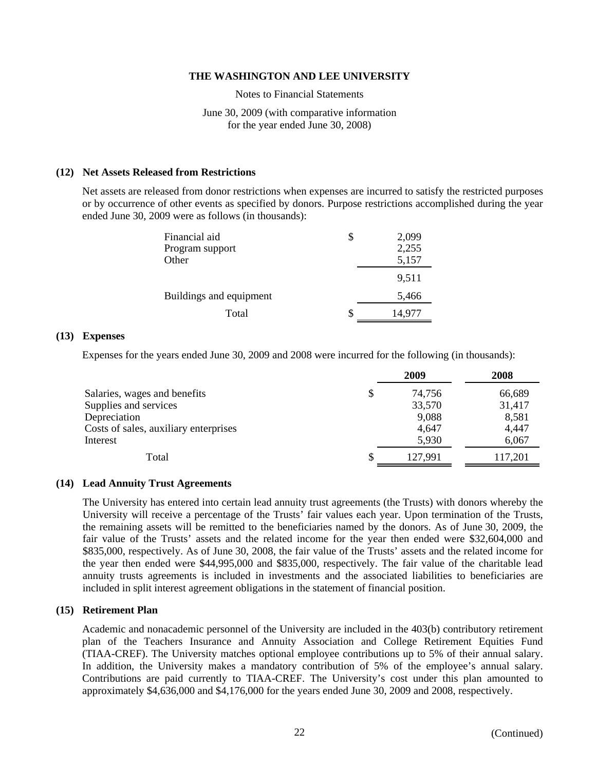Notes to Financial Statements

June 30, 2009 (with comparative information for the year ended June 30, 2008)

## **(12) Net Assets Released from Restrictions**

Net assets are released from donor restrictions when expenses are incurred to satisfy the restricted purposes or by occurrence of other events as specified by donors. Purpose restrictions accomplished during the year ended June 30, 2009 were as follows (in thousands):

| Financial aid           | \$<br>2,099  |
|-------------------------|--------------|
| Program support         | 2,255        |
| Other                   | 5,157        |
|                         | 9,511        |
| Buildings and equipment | 5,466        |
| Total                   | \$<br>14,977 |

#### **(13) Expenses**

Expenses for the years ended June 30, 2009 and 2008 were incurred for the following (in thousands):

|                                       | 2009    | 2008    |
|---------------------------------------|---------|---------|
| Salaries, wages and benefits          | 74,756  | 66,689  |
| Supplies and services                 | 33,570  | 31,417  |
| Depreciation                          | 9,088   | 8,581   |
| Costs of sales, auxiliary enterprises | 4,647   | 4,447   |
| Interest                              | 5,930   | 6,067   |
| Total                                 | 127.991 | 117,201 |

#### **(14) Lead Annuity Trust Agreements**

The University has entered into certain lead annuity trust agreements (the Trusts) with donors whereby the University will receive a percentage of the Trusts' fair values each year. Upon termination of the Trusts, the remaining assets will be remitted to the beneficiaries named by the donors. As of June 30, 2009, the fair value of the Trusts' assets and the related income for the year then ended were \$32,604,000 and \$835,000, respectively. As of June 30, 2008, the fair value of the Trusts' assets and the related income for the year then ended were \$44,995,000 and \$835,000, respectively. The fair value of the charitable lead annuity trusts agreements is included in investments and the associated liabilities to beneficiaries are included in split interest agreement obligations in the statement of financial position.

## **(15) Retirement Plan**

Academic and nonacademic personnel of the University are included in the 403(b) contributory retirement plan of the Teachers Insurance and Annuity Association and College Retirement Equities Fund (TIAA-CREF). The University matches optional employee contributions up to 5% of their annual salary. In addition, the University makes a mandatory contribution of 5% of the employee's annual salary. Contributions are paid currently to TIAA-CREF. The University's cost under this plan amounted to approximately \$4,636,000 and \$4,176,000 for the years ended June 30, 2009 and 2008, respectively.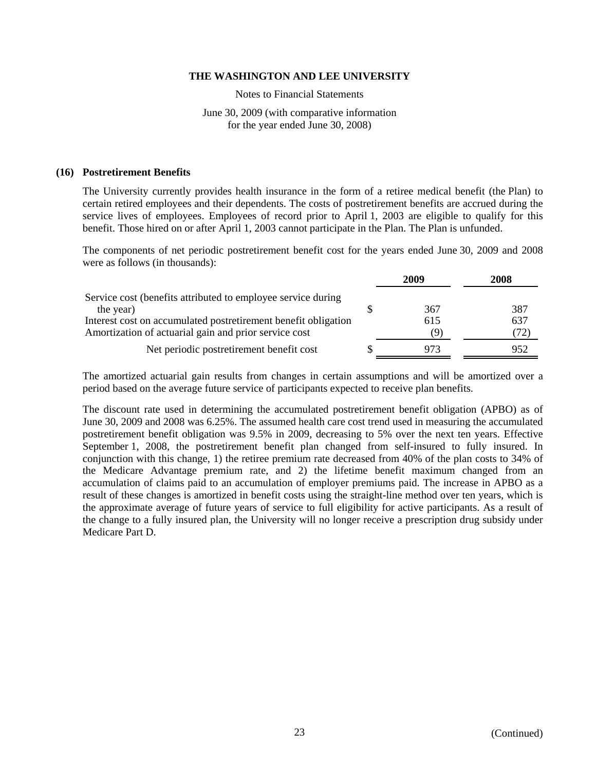Notes to Financial Statements

June 30, 2009 (with comparative information for the year ended June 30, 2008)

## **(16) Postretirement Benefits**

The University currently provides health insurance in the form of a retiree medical benefit (the Plan) to certain retired employees and their dependents. The costs of postretirement benefits are accrued during the service lives of employees. Employees of record prior to April 1, 2003 are eligible to qualify for this benefit. Those hired on or after April 1, 2003 cannot participate in the Plan. The Plan is unfunded.

The components of net periodic postretirement benefit cost for the years ended June 30, 2009 and 2008 were as follows (in thousands):

|                                                                | 2009 | <b>2008</b> |
|----------------------------------------------------------------|------|-------------|
| Service cost (benefits attributed to employee service during   |      |             |
| the year)                                                      | 367  | 387         |
| Interest cost on accumulated postretirement benefit obligation | 615  | 637         |
| Amortization of actuarial gain and prior service cost          | (9)  | 72)         |
| Net periodic postretirement benefit cost                       | 973  | 952         |

The amortized actuarial gain results from changes in certain assumptions and will be amortized over a period based on the average future service of participants expected to receive plan benefits.

The discount rate used in determining the accumulated postretirement benefit obligation (APBO) as of June 30, 2009 and 2008 was 6.25%. The assumed health care cost trend used in measuring the accumulated postretirement benefit obligation was 9.5% in 2009, decreasing to 5% over the next ten years. Effective September 1, 2008, the postretirement benefit plan changed from self-insured to fully insured. In conjunction with this change, 1) the retiree premium rate decreased from 40% of the plan costs to 34% of the Medicare Advantage premium rate, and 2) the lifetime benefit maximum changed from an accumulation of claims paid to an accumulation of employer premiums paid. The increase in APBO as a result of these changes is amortized in benefit costs using the straight-line method over ten years, which is the approximate average of future years of service to full eligibility for active participants. As a result of the change to a fully insured plan, the University will no longer receive a prescription drug subsidy under Medicare Part D.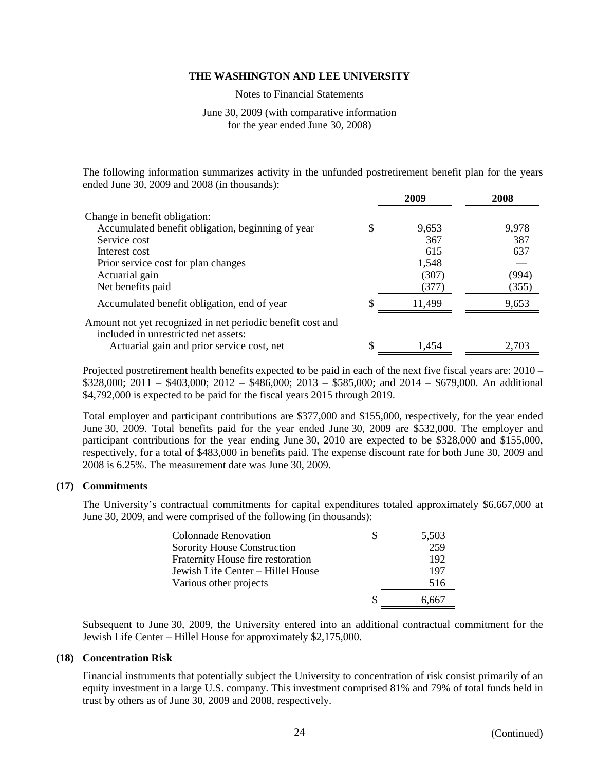Notes to Financial Statements

## June 30, 2009 (with comparative information for the year ended June 30, 2008)

The following information summarizes activity in the unfunded postretirement benefit plan for the years ended June 30, 2009 and 2008 (in thousands):

|                                                                                                    | 2009   | 2008  |
|----------------------------------------------------------------------------------------------------|--------|-------|
| Change in benefit obligation:                                                                      |        |       |
| Accumulated benefit obligation, beginning of year                                                  | 9,653  | 9,978 |
| Service cost                                                                                       | 367    | 387   |
| Interest cost                                                                                      | 615    | 637   |
| Prior service cost for plan changes                                                                | 1,548  |       |
| Actuarial gain                                                                                     | (307)  | (994) |
| Net benefits paid                                                                                  | (377)  | (355) |
| Accumulated benefit obligation, end of year                                                        | 11,499 | 9,653 |
| Amount not yet recognized in net periodic benefit cost and<br>included in unrestricted net assets: |        |       |
| Actuarial gain and prior service cost, net                                                         | 1.454  | 2.703 |

Projected postretirement health benefits expected to be paid in each of the next five fiscal years are: 2010 – \$328,000; 2011 – \$403,000; 2012 – \$486,000; 2013 – \$585,000; and 2014 – \$679,000. An additional \$4,792,000 is expected to be paid for the fiscal years 2015 through 2019.

Total employer and participant contributions are \$377,000 and \$155,000, respectively, for the year ended June 30, 2009. Total benefits paid for the year ended June 30, 2009 are \$532,000. The employer and participant contributions for the year ending June 30, 2010 are expected to be \$328,000 and \$155,000, respectively, for a total of \$483,000 in benefits paid. The expense discount rate for both June 30, 2009 and 2008 is 6.25%. The measurement date was June 30, 2009.

## **(17) Commitments**

The University's contractual commitments for capital expenditures totaled approximately \$6,667,000 at June 30, 2009, and were comprised of the following (in thousands):

| <b>Colonnade Renovation</b>       |   | 5,503 |
|-----------------------------------|---|-------|
| Sorority House Construction       |   | 259   |
| Fraternity House fire restoration |   | 192   |
| Jewish Life Center - Hillel House |   | 197   |
| Various other projects            |   | 516   |
|                                   | S | 6.667 |

Subsequent to June 30, 2009, the University entered into an additional contractual commitment for the Jewish Life Center – Hillel House for approximately \$2,175,000.

## **(18) Concentration Risk**

Financial instruments that potentially subject the University to concentration of risk consist primarily of an equity investment in a large U.S. company. This investment comprised 81% and 79% of total funds held in trust by others as of June 30, 2009 and 2008, respectively.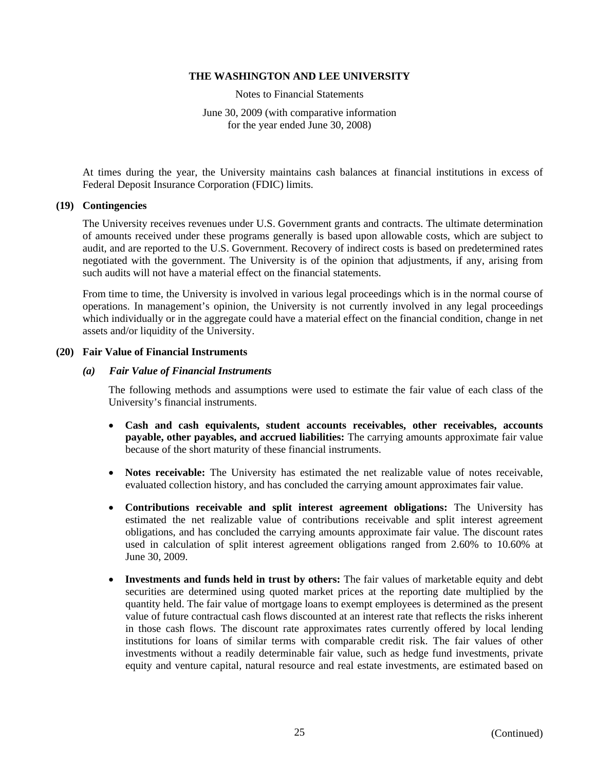Notes to Financial Statements

June 30, 2009 (with comparative information for the year ended June 30, 2008)

At times during the year, the University maintains cash balances at financial institutions in excess of Federal Deposit Insurance Corporation (FDIC) limits.

## **(19) Contingencies**

The University receives revenues under U.S. Government grants and contracts. The ultimate determination of amounts received under these programs generally is based upon allowable costs, which are subject to audit, and are reported to the U.S. Government. Recovery of indirect costs is based on predetermined rates negotiated with the government. The University is of the opinion that adjustments, if any, arising from such audits will not have a material effect on the financial statements.

From time to time, the University is involved in various legal proceedings which is in the normal course of operations. In management's opinion, the University is not currently involved in any legal proceedings which individually or in the aggregate could have a material effect on the financial condition, change in net assets and/or liquidity of the University.

## **(20) Fair Value of Financial Instruments**

## *(a) Fair Value of Financial Instruments*

 The following methods and assumptions were used to estimate the fair value of each class of the University's financial instruments.

- **Cash and cash equivalents, student accounts receivables, other receivables, accounts payable, other payables, and accrued liabilities:** The carrying amounts approximate fair value because of the short maturity of these financial instruments.
- **Notes receivable:** The University has estimated the net realizable value of notes receivable, evaluated collection history, and has concluded the carrying amount approximates fair value.
- **Contributions receivable and split interest agreement obligations:** The University has estimated the net realizable value of contributions receivable and split interest agreement obligations, and has concluded the carrying amounts approximate fair value. The discount rates used in calculation of split interest agreement obligations ranged from 2.60% to 10.60% at June 30, 2009.
- **Investments and funds held in trust by others:** The fair values of marketable equity and debt securities are determined using quoted market prices at the reporting date multiplied by the quantity held. The fair value of mortgage loans to exempt employees is determined as the present value of future contractual cash flows discounted at an interest rate that reflects the risks inherent in those cash flows. The discount rate approximates rates currently offered by local lending institutions for loans of similar terms with comparable credit risk. The fair values of other investments without a readily determinable fair value, such as hedge fund investments, private equity and venture capital, natural resource and real estate investments, are estimated based on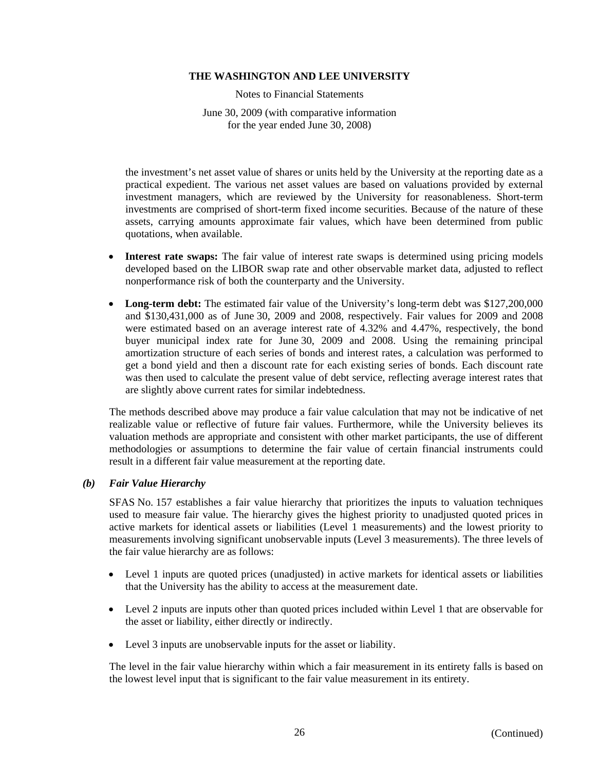Notes to Financial Statements

June 30, 2009 (with comparative information for the year ended June 30, 2008)

the investment's net asset value of shares or units held by the University at the reporting date as a practical expedient. The various net asset values are based on valuations provided by external investment managers, which are reviewed by the University for reasonableness. Short-term investments are comprised of short-term fixed income securities. Because of the nature of these assets, carrying amounts approximate fair values, which have been determined from public quotations, when available.

- **Interest rate swaps:** The fair value of interest rate swaps is determined using pricing models developed based on the LIBOR swap rate and other observable market data, adjusted to reflect nonperformance risk of both the counterparty and the University.
- **Long-term debt:** The estimated fair value of the University's long-term debt was \$127,200,000 and \$130,431,000 as of June 30, 2009 and 2008, respectively. Fair values for 2009 and 2008 were estimated based on an average interest rate of 4.32% and 4.47%, respectively, the bond buyer municipal index rate for June 30, 2009 and 2008. Using the remaining principal amortization structure of each series of bonds and interest rates, a calculation was performed to get a bond yield and then a discount rate for each existing series of bonds. Each discount rate was then used to calculate the present value of debt service, reflecting average interest rates that are slightly above current rates for similar indebtedness.

The methods described above may produce a fair value calculation that may not be indicative of net realizable value or reflective of future fair values. Furthermore, while the University believes its valuation methods are appropriate and consistent with other market participants, the use of different methodologies or assumptions to determine the fair value of certain financial instruments could result in a different fair value measurement at the reporting date.

# *(b) Fair Value Hierarchy*

SFAS No. 157 establishes a fair value hierarchy that prioritizes the inputs to valuation techniques used to measure fair value. The hierarchy gives the highest priority to unadjusted quoted prices in active markets for identical assets or liabilities (Level 1 measurements) and the lowest priority to measurements involving significant unobservable inputs (Level 3 measurements). The three levels of the fair value hierarchy are as follows:

- Level 1 inputs are quoted prices (unadjusted) in active markets for identical assets or liabilities that the University has the ability to access at the measurement date.
- Level 2 inputs are inputs other than quoted prices included within Level 1 that are observable for the asset or liability, either directly or indirectly.
- Level 3 inputs are unobservable inputs for the asset or liability.

The level in the fair value hierarchy within which a fair measurement in its entirety falls is based on the lowest level input that is significant to the fair value measurement in its entirety.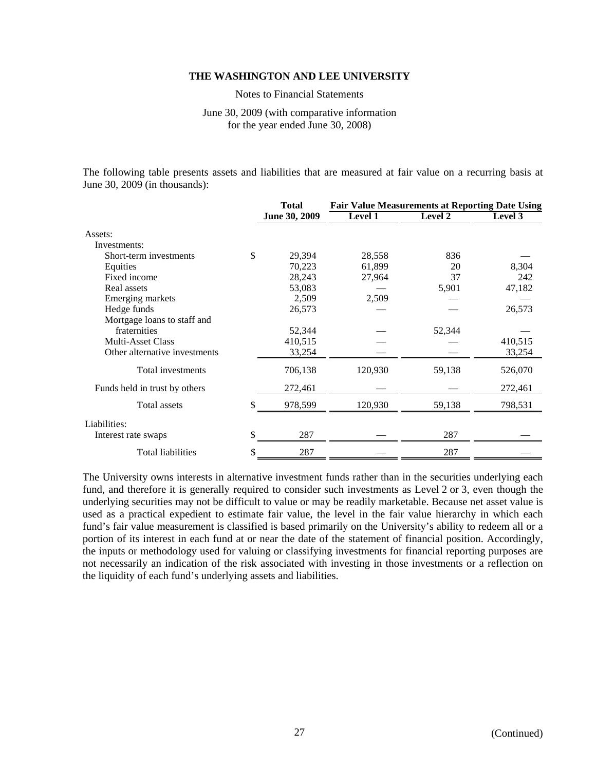Notes to Financial Statements

June 30, 2009 (with comparative information for the year ended June 30, 2008)

The following table presents assets and liabilities that are measured at fair value on a recurring basis at June 30, 2009 (in thousands):

|                               | <b>Total</b>  | <b>Fair Value Measurements at Reporting Date Using</b> |         |         |  |
|-------------------------------|---------------|--------------------------------------------------------|---------|---------|--|
|                               | June 30, 2009 | <b>Level 1</b>                                         | Level 2 | Level 3 |  |
| Assets:                       |               |                                                        |         |         |  |
| Investments:                  |               |                                                        |         |         |  |
| Short-term investments        | \$<br>29,394  | 28,558                                                 | 836     |         |  |
| Equities                      | 70,223        | 61,899                                                 | 20      | 8,304   |  |
| Fixed income                  | 28,243        | 27,964                                                 | 37      | 242     |  |
| Real assets                   | 53,083        |                                                        | 5,901   | 47,182  |  |
| Emerging markets              | 2,509         | 2,509                                                  |         |         |  |
| Hedge funds                   | 26,573        |                                                        |         | 26,573  |  |
| Mortgage loans to staff and   |               |                                                        |         |         |  |
| fraternities                  | 52,344        |                                                        | 52,344  |         |  |
| <b>Multi-Asset Class</b>      | 410,515       |                                                        |         | 410,515 |  |
| Other alternative investments | 33,254        |                                                        |         | 33,254  |  |
| Total investments             | 706,138       | 120,930                                                | 59,138  | 526,070 |  |
| Funds held in trust by others | 272,461       |                                                        |         | 272,461 |  |
| Total assets                  | \$<br>978,599 | 120,930                                                | 59,138  | 798,531 |  |
| Liabilities:                  |               |                                                        |         |         |  |
| Interest rate swaps           | \$<br>287     |                                                        | 287     |         |  |
| <b>Total liabilities</b>      | \$<br>287     |                                                        | 287     |         |  |

The University owns interests in alternative investment funds rather than in the securities underlying each fund, and therefore it is generally required to consider such investments as Level 2 or 3, even though the underlying securities may not be difficult to value or may be readily marketable. Because net asset value is used as a practical expedient to estimate fair value, the level in the fair value hierarchy in which each fund's fair value measurement is classified is based primarily on the University's ability to redeem all or a portion of its interest in each fund at or near the date of the statement of financial position. Accordingly, the inputs or methodology used for valuing or classifying investments for financial reporting purposes are not necessarily an indication of the risk associated with investing in those investments or a reflection on the liquidity of each fund's underlying assets and liabilities.